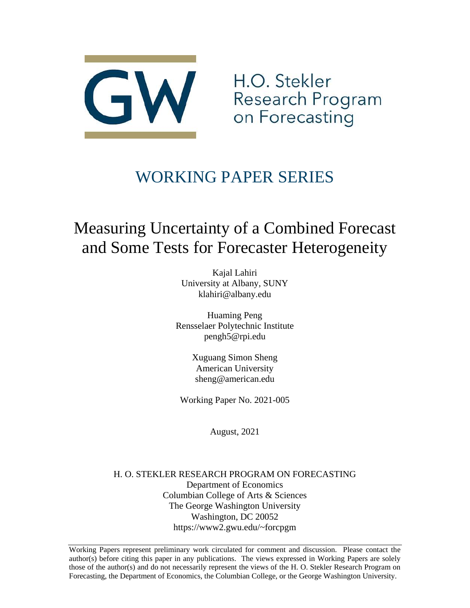

H.O. Stekler Research Program<br>on Forecasting

# WORKING PAPER SERIES

# Measuring Uncertainty of a Combined Forecast and Some Tests for Forecaster Heterogeneity

Kajal Lahiri University at Albany, SUNY klahiri@albany.edu

Huaming Peng Rensselaer Polytechnic Institute [pengh5@rpi.edu](mailto:pengh5@rpi.edu)

> Xuguang Simon Sheng American University sheng@american.edu

Working Paper No. 2021-005

August, 2021

H. O. STEKLER RESEARCH PROGRAM ON FORECASTING Department of Economics Columbian College of Arts & Sciences The George Washington University Washington, DC 20052 https://www2.gwu.edu/~forcpgm

Working Papers represent preliminary work circulated for comment and discussion. Please contact the author(s) before citing this paper in any publications. The views expressed in Working Papers are solely those of the author(s) and do not necessarily represent the views of the H. O. Stekler Research Program on Forecasting, the Department of Economics, the Columbian College, or the George Washington University.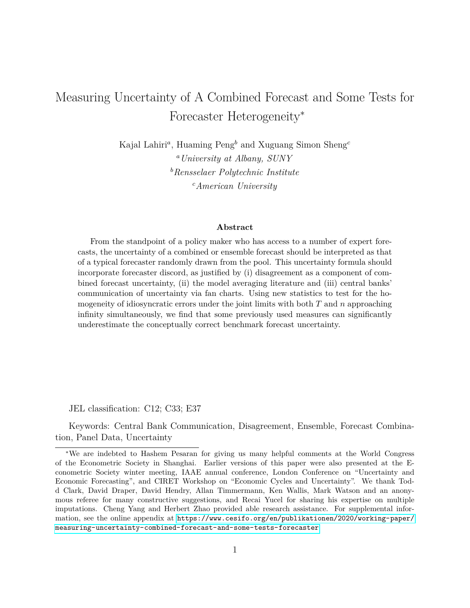## Measuring Uncertainty of A Combined Forecast and Some Tests for Forecaster Heterogeneity<sup>∗</sup>

Kajal Lahiri*<sup>a</sup>* , Huaming Peng*<sup>b</sup>* and Xuguang Simon Sheng*<sup>c</sup> <sup>a</sup>University at Albany, SUNY <sup>b</sup>Rensselaer Polytechnic Institute <sup>c</sup>American University*

#### **Abstract**

From the standpoint of a policy maker who has access to a number of expert forecasts, the uncertainty of a combined or ensemble forecast should be interpreted as that of a typical forecaster randomly drawn from the pool. This uncertainty formula should incorporate forecaster discord, as justified by (i) disagreement as a component of combined forecast uncertainty, (ii) the model averaging literature and (iii) central banks' communication of uncertainty via fan charts. Using new statistics to test for the homogeneity of idiosyncratic errors under the joint limits with both *T* and *n* approaching infinity simultaneously, we find that some previously used measures can significantly underestimate the conceptually correct benchmark forecast uncertainty.

JEL classification: C12; C33; E37

Keywords: Central Bank Communication, Disagreement, Ensemble, Forecast Combination, Panel Data, Uncertainty

<sup>∗</sup>We are indebted to Hashem Pesaran for giving us many helpful comments at the World Congress of the Econometric Society in Shanghai. Earlier versions of this paper were also presented at the Econometric Society winter meeting, IAAE annual conference, London Conference on "Uncertainty and Economic Forecasting", and CIRET Workshop on "Economic Cycles and Uncertainty". We thank Todd Clark, David Draper, David Hendry, Allan Timmermann, Ken Wallis, Mark Watson and an anonymous referee for many constructive suggestions, and Recai Yucel for sharing his expertise on multiple imputations. Cheng Yang and Herbert Zhao provided able research assistance. For supplemental information, see the online appendix at [https://www.cesifo.org/en/publikationen/2020/working-paper/](https://www.cesifo.org/en/publikationen/2020/working-paper/measuring-uncertainty-combined-forecast-and-some-tests-forecaster) [measuring-uncertainty-combined-forecast-and-some-tests-forecaster](https://www.cesifo.org/en/publikationen/2020/working-paper/measuring-uncertainty-combined-forecast-and-some-tests-forecaster)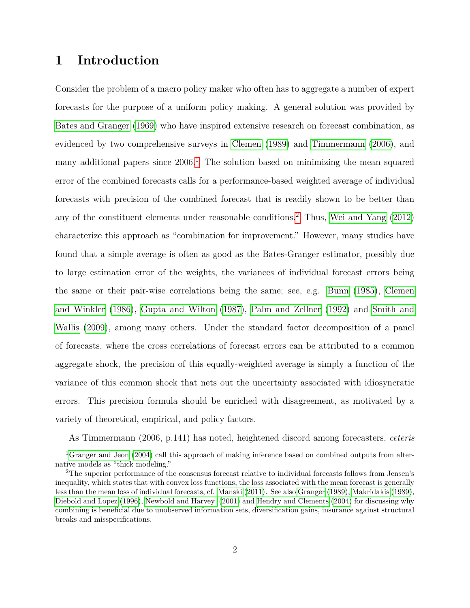### **1 Introduction**

Consider the problem of a macro policy maker who often has to aggregate a number of expert forecasts for the purpose of a uniform policy making. A general solution was provided by [Bates and Granger](#page-24-0) [\(1969\)](#page-24-0) who have inspired extensive research on forecast combination, as evidenced by two comprehensive surveys in [Clemen](#page-25-0) [\(1989\)](#page-25-0) and [Timmermann](#page-30-0) [\(2006\)](#page-30-0), and many additional papers since  $2006<sup>1</sup>$  $2006<sup>1</sup>$  $2006<sup>1</sup>$ . The solution based on minimizing the mean squared error of the combined forecasts calls for a performance-based weighted average of individual forecasts with precision of the combined forecast that is readily shown to be better than any of the constituent elements under reasonable conditions.[2](#page-2-1) Thus, [Wei and Yang](#page-30-1) [\(2012\)](#page-30-1) characterize this approach as "combination for improvement." However, many studies have found that a simple average is often as good as the Bates-Granger estimator, possibly due to large estimation error of the weights, the variances of individual forecast errors being the same or their pair-wise correlations being the same; see, e.g. [Bunn](#page-25-1) [\(1985\)](#page-25-1), [Clemen](#page-25-2) [and Winkler](#page-25-2) [\(1986\)](#page-25-2), [Gupta and Wilton](#page-27-0) [\(1987\)](#page-27-0), [Palm and Zellner](#page-29-0) [\(1992\)](#page-29-0) and [Smith and](#page-30-2) [Wallis](#page-30-2) [\(2009\)](#page-30-2), among many others. Under the standard factor decomposition of a panel of forecasts, where the cross correlations of forecast errors can be attributed to a common aggregate shock, the precision of this equally-weighted average is simply a function of the variance of this common shock that nets out the uncertainty associated with idiosyncratic errors. This precision formula should be enriched with disagreement, as motivated by a variety of theoretical, empirical, and policy factors.

<span id="page-2-0"></span>As Timmermann (2006, p.141) has noted, heightened discord among forecasters, *ceteris*

<sup>&</sup>lt;sup>1</sup>[Granger and Jeon](#page-27-1) [\(2004\)](#page-27-1) call this approach of making inference based on combined outputs from alternative models as "thick modeling."

<span id="page-2-1"></span><sup>2</sup>The superior performance of the consensus forecast relative to individual forecasts follows from Jensen's inequality, which states that with convex loss functions, the loss associated with the mean forecast is generally less than the mean loss of individual forecasts, cf. [Manski](#page-29-1) [\(2011\)](#page-29-1). See also [Granger](#page-27-2) [\(1989\)](#page-27-2), [Makridakis](#page-28-0) [\(1989\)](#page-28-0), [Diebold and Lopez](#page-26-0) [\(1996\)](#page-26-0), [Newbold and Harvey](#page-29-2) [\(2001\)](#page-29-2) and [Hendry and Clements](#page-27-3) [\(2004\)](#page-27-3) for discussing why combining is beneficial due to unobserved information sets, diversification gains, insurance against structural breaks and misspecifications.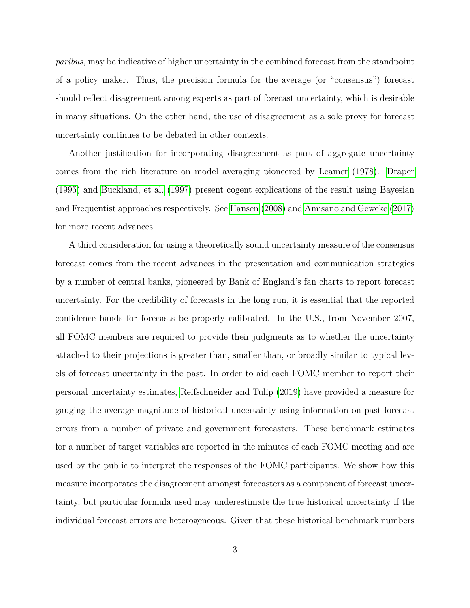*paribus*, may be indicative of higher uncertainty in the combined forecast from the standpoint of a policy maker. Thus, the precision formula for the average (or "consensus") forecast should reflect disagreement among experts as part of forecast uncertainty, which is desirable in many situations. On the other hand, the use of disagreement as a sole proxy for forecast uncertainty continues to be debated in other contexts.

Another justification for incorporating disagreement as part of aggregate uncertainty comes from the rich literature on model averaging pioneered by [Leamer](#page-28-1) [\(1978\)](#page-28-1). [Draper](#page-26-1) [\(1995\)](#page-26-1) and [Buckland, et al.](#page-25-3) [\(1997\)](#page-25-3) present cogent explications of the result using Bayesian and Frequentist approaches respectively. See [Hansen](#page-27-4) [\(2008\)](#page-27-4) and [Amisano and Geweke](#page-24-1) [\(2017\)](#page-24-1) for more recent advances.

A third consideration for using a theoretically sound uncertainty measure of the consensus forecast comes from the recent advances in the presentation and communication strategies by a number of central banks, pioneered by Bank of England's fan charts to report forecast uncertainty. For the credibility of forecasts in the long run, it is essential that the reported confidence bands for forecasts be properly calibrated. In the U.S., from November 2007, all FOMC members are required to provide their judgments as to whether the uncertainty attached to their projections is greater than, smaller than, or broadly similar to typical levels of forecast uncertainty in the past. In order to aid each FOMC member to report their personal uncertainty estimates, [Reifschneider and Tulip](#page-29-3) [\(2019\)](#page-29-3) have provided a measure for gauging the average magnitude of historical uncertainty using information on past forecast errors from a number of private and government forecasters. These benchmark estimates for a number of target variables are reported in the minutes of each FOMC meeting and are used by the public to interpret the responses of the FOMC participants. We show how this measure incorporates the disagreement amongst forecasters as a component of forecast uncertainty, but particular formula used may underestimate the true historical uncertainty if the individual forecast errors are heterogeneous. Given that these historical benchmark numbers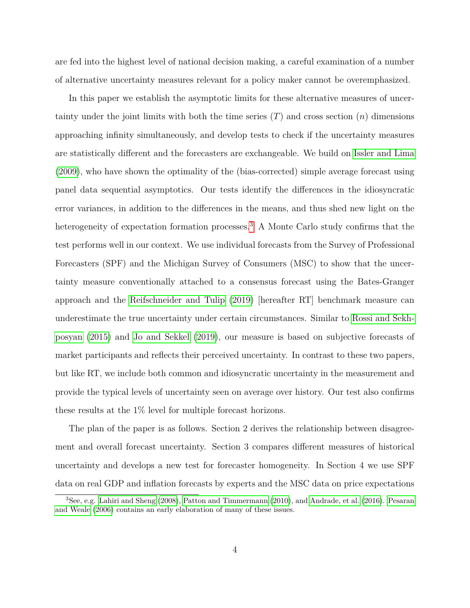are fed into the highest level of national decision making, a careful examination of a number of alternative uncertainty measures relevant for a policy maker cannot be overemphasized.

In this paper we establish the asymptotic limits for these alternative measures of uncertainty under the joint limits with both the time series (*T*) and cross section (*n*) dimensions approaching infinity simultaneously, and develop tests to check if the uncertainty measures are statistically different and the forecasters are exchangeable. We build on [Issler and Lima](#page-27-5) [\(2009\)](#page-27-5), who have shown the optimality of the (bias-corrected) simple average forecast using panel data sequential asymptotics. Our tests identify the differences in the idiosyncratic error variances, in addition to the differences in the means, and thus shed new light on the heterogeneity of expectation formation processes.<sup>[3](#page-4-0)</sup> A Monte Carlo study confirms that the test performs well in our context. We use individual forecasts from the Survey of Professional Forecasters (SPF) and the Michigan Survey of Consumers (MSC) to show that the uncertainty measure conventionally attached to a consensus forecast using the Bates-Granger approach and the [Reifschneider and Tulip](#page-29-3) [\(2019\)](#page-29-3) [hereafter RT] benchmark measure can underestimate the true uncertainty under certain circumstances. Similar to [Rossi and Sekh](#page-30-3)[posyan](#page-30-3) [\(2015\)](#page-30-3) and [Jo and Sekkel](#page-28-2) [\(2019\)](#page-28-2), our measure is based on subjective forecasts of market participants and reflects their perceived uncertainty. In contrast to these two papers, but like RT, we include both common and idiosyncratic uncertainty in the measurement and provide the typical levels of uncertainty seen on average over history. Our test also confirms these results at the 1% level for multiple forecast horizons.

The plan of the paper is as follows. Section 2 derives the relationship between disagreement and overall forecast uncertainty. Section 3 compares different measures of historical uncertainty and develops a new test for forecaster homogeneity. In Section 4 we use SPF data on real GDP and inflation forecasts by experts and the MSC data on price expectations

<span id="page-4-0"></span><sup>3</sup>See, e.g. [Lahiri and Sheng](#page-28-3) [\(2008\)](#page-28-3), [Patton and Timmermann](#page-29-4) [\(2010\)](#page-29-4), and [Andrade, et al.](#page-24-2) [\(2016\)](#page-24-2). [Pesaran](#page-29-5) [and Weale](#page-29-5) [\(2006\)](#page-29-5) contains an early elaboration of many of these issues.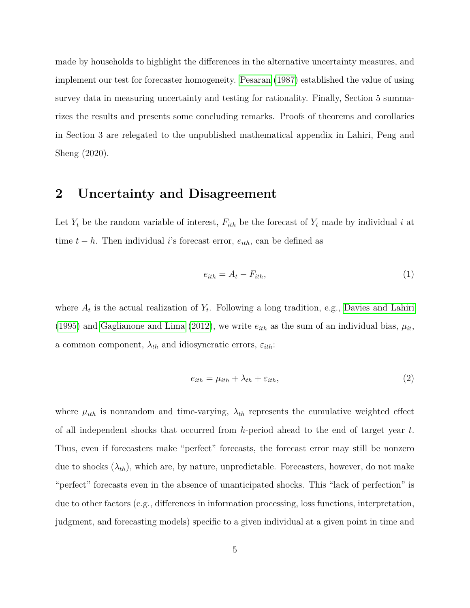made by households to highlight the differences in the alternative uncertainty measures, and implement our test for forecaster homogeneity. [Pesaran](#page-29-6) [\(1987\)](#page-29-6) established the value of using survey data in measuring uncertainty and testing for rationality. Finally, Section 5 summarizes the results and presents some concluding remarks. Proofs of theorems and corollaries in Section 3 are relegated to the unpublished mathematical appendix in Lahiri, Peng and Sheng (2020).

### **2 Uncertainty and Disagreement**

Let  $Y_t$  be the random variable of interest,  $F_{ith}$  be the forecast of  $Y_t$  made by individual *i* at time  $t - h$ . Then individual *i*'s forecast error,  $e_{ith}$ , can be defined as

$$
e_{ith} = A_t - F_{ith},\tag{1}
$$

where  $A_t$  is the actual realization of  $Y_t$ . Following a long tradition, e.g., [Davies and Lahiri](#page-26-2) [\(1995\)](#page-26-2) and [Gaglianone and Lima](#page-26-3) [\(2012\)](#page-26-3), we write  $e_{ith}$  as the sum of an individual bias,  $\mu_{it}$ , a common component,  $\lambda_{th}$  and idiosyncratic errors,  $\varepsilon_{ith}$ :

$$
e_{ith} = \mu_{ith} + \lambda_{th} + \varepsilon_{ith}, \qquad (2)
$$

where  $\mu_{ith}$  is nonrandom and time-varying,  $\lambda_{th}$  represents the cumulative weighted effect of all independent shocks that occurred from *h*-period ahead to the end of target year *t*. Thus, even if forecasters make "perfect" forecasts, the forecast error may still be nonzero due to shocks  $(\lambda_{th})$ , which are, by nature, unpredictable. Forecasters, however, do not make "perfect" forecasts even in the absence of unanticipated shocks. This "lack of perfection" is due to other factors (e.g., differences in information processing, loss functions, interpretation, judgment, and forecasting models) specific to a given individual at a given point in time and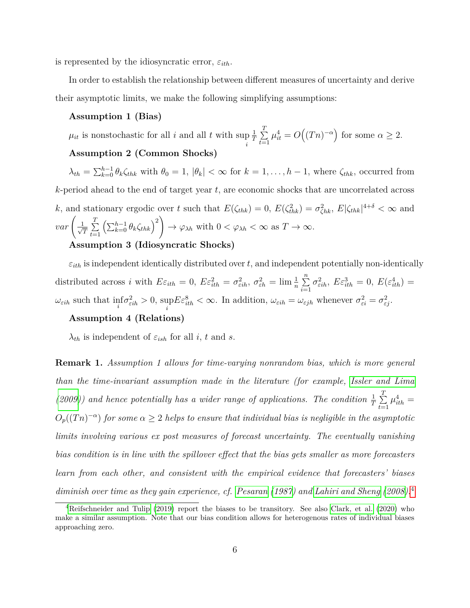is represented by the idiosyncratic error,  $\varepsilon_{ith}$ .

In order to establish the relationship between different measures of uncertainty and derive their asymptotic limits, we make the following simplifying assumptions:

#### **Assumption 1 (Bias)**

 $\mu_{it}$  is nonstochastic for all *i* and all *t* with sup  $\frac{1}{T}$  $\sum_{i=1}^{T}$  $\sum_{t=1}^{T} \mu_{it}^4 = O((Tn)^{-\alpha})$  for some  $\alpha \geq 2$ .

### **Assumption 2 (Common Shocks)**

 $\lambda_{th} = \sum_{k=0}^{h-1} \theta_k \zeta_{thk}$  with  $\theta_0 = 1$ ,  $|\theta_k| < \infty$  for  $k = 1, \ldots, h-1$ , where  $\zeta_{thk}$ , occurred from *k*-period ahead to the end of target year *t*, are economic shocks that are uncorrelated across *k*, and stationary ergodic over *t* such that  $E(\zeta_{thk}) = 0$ ,  $E(\zeta_{thk}^2) = \sigma_{\zeta_{hk}}^2$ ,  $E|\zeta_{thk}|^{4+\delta} < \infty$  and  $var\left(\frac{1}{\sqrt{2}}\right)$  $\frac{T}{T} \sum_{t=1}^{T}$ *t*=1  $\left(\sum_{k=0}^{h-1} \theta_k \zeta_{thk}\right)^2$  $\rightarrow \varphi_{\lambda h}$  with  $0 < \varphi_{\lambda h} < \infty$  as  $T \rightarrow \infty$ .

### **Assumption 3 (Idiosyncratic Shocks)**

 $\varepsilon_{ith}$  is independent identically distributed over *t*, and independent potentially non-identically distributed across *i* with  $E\varepsilon_{ith} = 0$ ,  $E\varepsilon_{ith}^2 = \sigma_{\varepsilon ih}^2$ ,  $\sigma_{\varepsilon h}^2 = \lim_{n \to \infty} \frac{1}{n} \sum_{i=1}^n$ *i*=1  $\sigma_{\varepsilon i h}^2$ ,  $E \varepsilon_{i t h}^3 = 0$ ,  $E(\varepsilon_{i t h}^4) =$  $\omega_{\varepsilon i h}$  such that  $\inf_{i} \sigma_{\varepsilon i h}^{2} > 0$ , sup  $E\varepsilon_{ith}^8 < \infty$ . In addition,  $\omega_{\varepsilon ih} = \omega_{\varepsilon jh}$  whenever  $\sigma_{\varepsilon i}^2 = \sigma_{\varepsilon j}^2$ .

#### **Assumption 4 (Relations)**

*λ*<sub>*th*</sub> is independent of  $\varepsilon$ <sub>*ish*</sub> for all *i*, *t* and *s*.

**Remark 1.** *Assumption 1 allows for time-varying nonrandom bias, which is more general than the time-invariant assumption made in the literature (for example, [Issler and Lima](#page-27-5) [\(2009\)](#page-27-5)*) and hence potentially has a wider range of applications. The condition  $\frac{1}{T} \sum_{i=1}^{T}$  $\sum_{t=1}^{1} \mu_{ith}^4 =$  $O_p((Tn)^{-\alpha})$  *for some*  $\alpha \geq 2$  *helps to ensure that individual bias is negligible in the asymptotic limits involving various ex post measures of forecast uncertainty. The eventually vanishing bias condition is in line with the spillover effect that the bias gets smaller as more forecasters learn from each other, and consistent with the empirical evidence that forecasters' biases diminish over time as they gain experience, cf. [Pesaran](#page-29-6) [\(1987\)](#page-29-6) and [Lahiri and Sheng](#page-28-3) [\(2008\)](#page-28-3).*[4](#page-6-0)

<span id="page-6-0"></span><sup>&</sup>lt;sup>4</sup>[Reifschneider and Tulip](#page-29-3) [\(2019\)](#page-29-3) report the biases to be transitory. See also [Clark, et al.](#page-25-4) [\(2020\)](#page-25-4) who make a similar assumption. Note that our bias condition allows for heterogenous rates of individual biases approaching zero.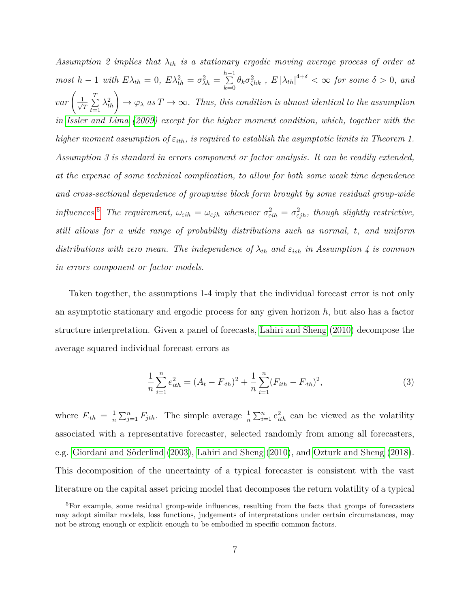*Assumption 2 implies that λth is a stationary ergodic moving average process of order at most*  $h-1$  *with*  $E\lambda_{th} = 0$ ,  $E\lambda_{th}^2 = \sigma_{\lambda h}^2 = \sum_{k=1}^{h-1}$  $\sum_{k=0}^{n-1} \theta_k \sigma_{\zeta hk}^2$ ,  $E |\lambda_{th}|^{4+\delta} < \infty$  for some  $\delta > 0$ , and  $var\left(\frac{1}{\sqrt{2}}\right)$  $\frac{T}{T} \sum_{t=1}^{T}$  $\sum_{t=1}^T \lambda_{th}^2$   $\rightarrow \varphi_\lambda$  *as*  $T \rightarrow \infty$ *. Thus, this condition is almost identical to the assumption in [Issler and Lima](#page-27-5) [\(2009\)](#page-27-5) except for the higher moment condition, which, together with the higher moment assumption of*  $\varepsilon_{ith}$ *, is required to establish the asymptotic limits in Theorem 1. Assumption 3 is standard in errors component or factor analysis. It can be readily extended, at the expense of some technical complication, to allow for both some weak time dependence and cross-sectional dependence of groupwise block form brought by some residual group-wide influences.*<sup>[5](#page-7-0)</sup> *The requirement,*  $\omega_{\varepsilon ih} = \omega_{\varepsilon jh}$  *whenever*  $\sigma_{\varepsilon ih}^2 = \sigma_{\varepsilon jh}^2$ , *though slightly restrictive, still allows for a wide range of probability distributions such as normal, t, and uniform distributions with zero mean. The independence of*  $\lambda_{th}$  *and*  $\varepsilon_{ish}$  *in Assumption* 4 *is common in errors component or factor models.*

Taken together, the assumptions 1-4 imply that the individual forecast error is not only an asymptotic stationary and ergodic process for any given horizon *h*, but also has a factor structure interpretation. Given a panel of forecasts, [Lahiri and Sheng](#page-28-4) [\(2010\)](#page-28-4) decompose the average squared individual forecast errors as

<span id="page-7-1"></span>
$$
\frac{1}{n}\sum_{i=1}^{n}e_{ith}^{2} = (A_{t} - F_{\cdot th})^{2} + \frac{1}{n}\sum_{i=1}^{n}(F_{ith} - F_{\cdot th})^{2},\tag{3}
$$

where  $F_{th} = \frac{1}{n}$  $\frac{1}{n}\sum_{j=1}^{n} F_{jth}$ . The simple average  $\frac{1}{n}\sum_{i=1}^{n} e_{ith}^2$  can be viewed as the volatility associated with a representative forecaster, selected randomly from among all forecasters, e.g. [Giordani and Söderlind](#page-27-6) [\(2003\)](#page-27-6), [Lahiri and Sheng](#page-28-4) [\(2010\)](#page-28-4), and [Ozturk and Sheng](#page-29-7) [\(2018\)](#page-29-7). This decomposition of the uncertainty of a typical forecaster is consistent with the vast literature on the capital asset pricing model that decomposes the return volatility of a typical

<span id="page-7-0"></span><sup>5</sup>For example, some residual group-wide influences, resulting from the facts that groups of forecasters may adopt similar models, loss functions, judgements of interpretations under certain circumstances, may not be strong enough or explicit enough to be embodied in specific common factors.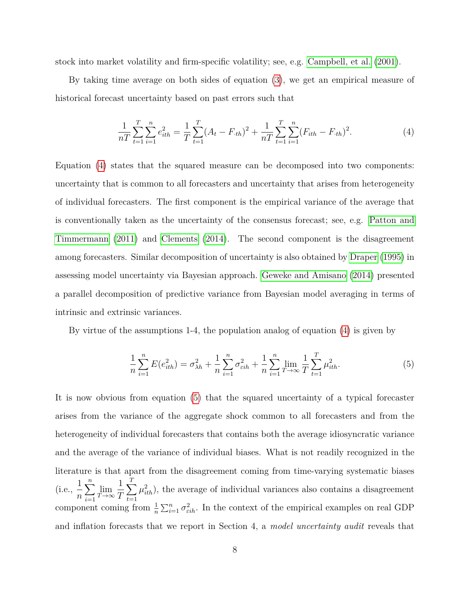stock into market volatility and firm-specific volatility; see, e.g. [Campbell, et al.](#page-25-5) [\(2001\)](#page-25-5).

By taking time average on both sides of equation [\(3\)](#page-7-1), we get an empirical measure of historical forecast uncertainty based on past errors such that

<span id="page-8-0"></span>
$$
\frac{1}{nT} \sum_{t=1}^{T} \sum_{i=1}^{n} e_{ith}^2 = \frac{1}{T} \sum_{t=1}^{T} (A_t - F_{th})^2 + \frac{1}{nT} \sum_{t=1}^{T} \sum_{i=1}^{n} (F_{ith} - F_{th})^2.
$$
\n(4)

Equation [\(4\)](#page-8-0) states that the squared measure can be decomposed into two components: uncertainty that is common to all forecasters and uncertainty that arises from heterogeneity of individual forecasters. The first component is the empirical variance of the average that is conventionally taken as the uncertainty of the consensus forecast; see, e.g. [Patton and](#page-29-8) [Timmermann](#page-29-8) [\(2011\)](#page-29-8) and [Clements](#page-25-6) [\(2014\)](#page-25-6). The second component is the disagreement among forecasters. Similar decomposition of uncertainty is also obtained by [Draper](#page-26-1) [\(1995\)](#page-26-1) in assessing model uncertainty via Bayesian approach. [Geweke and Amisano](#page-27-7) [\(2014\)](#page-27-7) presented a parallel decomposition of predictive variance from Bayesian model averaging in terms of intrinsic and extrinsic variances.

By virtue of the assumptions 1-4, the population analog of equation [\(4\)](#page-8-0) is given by

<span id="page-8-1"></span>
$$
\frac{1}{n}\sum_{i=1}^{n} E(e_{ith}^2) = \sigma_{\lambda h}^2 + \frac{1}{n}\sum_{i=1}^{n} \sigma_{\varepsilon ih}^2 + \frac{1}{n}\sum_{i=1}^{n} \lim_{T \to \infty} \frac{1}{T} \sum_{t=1}^{T} \mu_{ith}^2.
$$
 (5)

It is now obvious from equation [\(5\)](#page-8-1) that the squared uncertainty of a typical forecaster arises from the variance of the aggregate shock common to all forecasters and from the heterogeneity of individual forecasters that contains both the average idiosyncratic variance and the average of the variance of individual biases. What is not readily recognized in the literature is that apart from the disagreement coming from time-varying systematic biases  $(i.e., \frac{1}{1})$ *n*  $\sum_{n=1}^{\infty}$ *i*=1 lim *T*→∞ 1 *T*  $\sum$ *T t*=1  $\mu_{ith}^2$ ), the average of individual variances also contains a disagreement component coming from  $\frac{1}{n} \sum_{i=1}^{n} \sigma_{\varepsilon i h}^2$ . In the context of the empirical examples on real GDP and inflation forecasts that we report in Section 4, a *model uncertainty audit* reveals that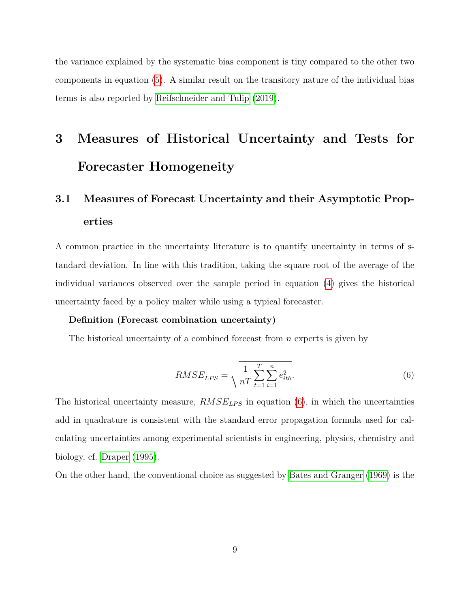the variance explained by the systematic bias component is tiny compared to the other two components in equation [\(5\)](#page-8-1). A similar result on the transitory nature of the individual bias terms is also reported by [Reifschneider and Tulip](#page-29-3) [\(2019\)](#page-29-3).

# **3 Measures of Historical Uncertainty and Tests for Forecaster Homogeneity**

## **3.1 Measures of Forecast Uncertainty and their Asymptotic Properties**

A common practice in the uncertainty literature is to quantify uncertainty in terms of standard deviation. In line with this tradition, taking the square root of the average of the individual variances observed over the sample period in equation [\(4\)](#page-8-0) gives the historical uncertainty faced by a policy maker while using a typical forecaster.

#### **Definition (Forecast combination uncertainty)**

The historical uncertainty of a combined forecast from *n* experts is given by

<span id="page-9-0"></span>
$$
RMSE_{LPS} = \sqrt{\frac{1}{nT} \sum_{t=1}^{T} \sum_{i=1}^{n} e_{ith}^2}.
$$
 (6)

The historical uncertainty measure,  $RMSE_{LPS}$  in equation [\(6\)](#page-9-0), in which the uncertainties add in quadrature is consistent with the standard error propagation formula used for calculating uncertainties among experimental scientists in engineering, physics, chemistry and biology, cf. [Draper](#page-26-1) [\(1995\)](#page-26-1).

On the other hand, the conventional choice as suggested by [Bates and Granger](#page-24-0) [\(1969\)](#page-24-0) is the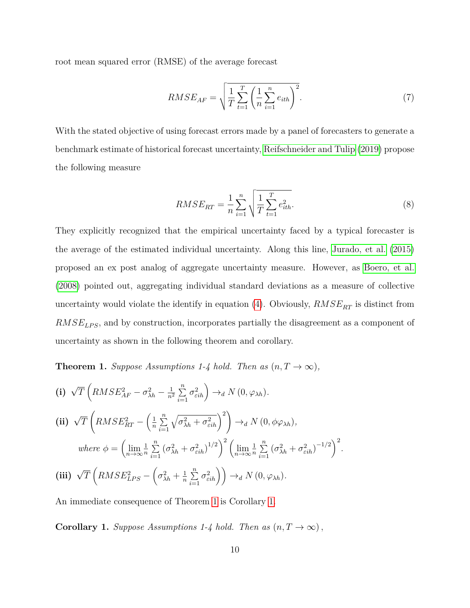root mean squared error (RMSE) of the average forecast

<span id="page-10-2"></span>
$$
RMSE_{AF} = \sqrt{\frac{1}{T} \sum_{t=1}^{T} \left(\frac{1}{n} \sum_{i=1}^{n} e_{ith}\right)^2}.
$$
 (7)

With the stated objective of using forecast errors made by a panel of forecasters to generate a benchmark estimate of historical forecast uncertainty, [Reifschneider and Tulip](#page-29-3) [\(2019\)](#page-29-3) propose the following measure

<span id="page-10-3"></span>
$$
RMSE_{RT} = \frac{1}{n} \sum_{i=1}^{n} \sqrt{\frac{1}{T} \sum_{t=1}^{T} e_{ith}^2}.
$$
\n(8)

They explicitly recognized that the empirical uncertainty faced by a typical forecaster is the average of the estimated individual uncertainty. Along this line, [Jurado, et al.](#page-28-5) [\(2015\)](#page-28-5) proposed an ex post analog of aggregate uncertainty measure. However, as [Boero, et al.](#page-24-3) [\(2008\)](#page-24-3) pointed out, aggregating individual standard deviations as a measure of collective uncertainty would violate the identify in equation [\(4\)](#page-8-0). Obviously,  $RMSE<sub>RT</sub>$  is distinct from *RMSELP S*, and by construction, incorporates partially the disagreement as a component of uncertainty as shown in the following theorem and corollary.

<span id="page-10-0"></span>**Theorem 1.** *Suppose Assumptions 1-4 hold. Then as*  $(n, T \to \infty)$ *,* 

(i) 
$$
\sqrt{T} \left( RMSE_{AF}^2 - \sigma_{\lambda h}^2 - \frac{1}{n^2} \sum_{i=1}^n \sigma_{\varepsilon ih}^2 \right) \rightarrow_d N (0, \varphi_{\lambda h}).
$$
  
\n(ii)  $\sqrt{T} \left( RMSE_{RT}^2 - \left( \frac{1}{n} \sum_{i=1}^n \sqrt{\sigma_{\lambda h}^2 + \sigma_{\varepsilon ih}^2} \right)^2 \right) \rightarrow_d N (0, \phi \varphi_{\lambda h}),$   
\nwhere  $\phi = \left( \lim_{n \to \infty} \frac{1}{n} \sum_{i=1}^n (\sigma_{\lambda h}^2 + \sigma_{\varepsilon ih}^2)^{1/2} \right)^2 \left( \lim_{n \to \infty} \frac{1}{n} \sum_{i=1}^n (\sigma_{\lambda h}^2 + \sigma_{\varepsilon ih}^2)^{-1/2} \right)^2.$   
\n(iii)  $\sqrt{T} \left( RMSE_{LPS}^2 - \left( \sigma_{\lambda h}^2 + \frac{1}{n} \sum_{i=1}^n \sigma_{\varepsilon ih}^2 \right) \right) \rightarrow_d N (0, \varphi_{\lambda h}).$ 

An immediate consequence of Theorem [1](#page-10-0) is Corollary [1.](#page-10-1)

<span id="page-10-1"></span>**Corollary 1.** *Suppose Assumptions 1-4 hold. Then as*  $(n, T \to \infty)$ ,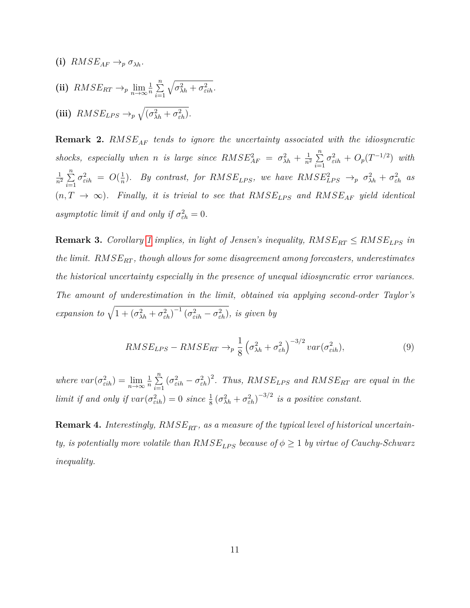(i) 
$$
RMSE_{AF} \rightarrow_p \sigma_{\lambda h}
$$
.  
\n(ii)  $RMSE_{RT} \rightarrow_p \lim_{n \to \infty} \frac{1}{n} \sum_{i=1}^{n} \sqrt{\sigma_{\lambda h}^2 + \sigma_{\varepsilon ih}^2}$ .  
\n(iii)  $RMSE_{LPS} \rightarrow_p \sqrt{(\sigma_{\lambda h}^2 + \sigma_{\varepsilon h}^2)}$ .

**Remark 2.** *RMSEAF tends to ignore the uncertainty associated with the idiosyncratic shocks, especially when n is large since*  $RMSE_{AF}^2 = \sigma_{\lambda h}^2 + \frac{1}{n^2}$  $rac{1}{n^2}$  $\sum_{n=1}^n$ *i*=1  $\sigma_{\varepsilon i h}^2 + O_p(T^{-1/2})$  *with* 1  $\frac{1}{n^2}$   $\sum_{n=1}^n$ *i*=1  $\sigma_{\varepsilon i h}^2 = O(\frac{1}{n})$  $\frac{1}{n}$ ). By contrast, for  $RMSE_{LPS}$ , we have  $RMSE_{LPS}^2 \rightarrow_p \sigma_{\lambda h}^2 + \sigma_{\varepsilon h}^2$  as  $(n, T \rightarrow \infty)$ *. Finally, it is trivial to see that*  $RMSE_{LPS}$  *and*  $RMSE_{AF}$  *yield identical asymptotic limit if and only if*  $\sigma_{\varepsilon h}^2 = 0$ *.* 

<span id="page-11-0"></span>**Remark 3.** *Corollary* [1](#page-10-1) *implies, in light of Jensen's inequality,*  $RMSE_{RT} \leq RMSE_{LPS}$  *in the limit. RMSERT , though allows for some disagreement among forecasters, underestimates the historical uncertainty especially in the presence of unequal idiosyncratic error variances. The amount of underestimation in the limit, obtained via applying second-order Taylor's expansion to*  $\sqrt{1 + (\sigma_{\lambda h}^2 + \sigma_{\varepsilon h}^2)^{-1} (\sigma_{\varepsilon ih}^2 - \sigma_{\varepsilon h}^2)}$ *, is given by* 

<span id="page-11-1"></span>
$$
RMSE_{LPS} - RMSE_{RT} \rightarrow_{p} \frac{1}{8} \left(\sigma_{\lambda h}^{2} + \sigma_{\varepsilon h}^{2}\right)^{-3/2} var(\sigma_{\varepsilon ih}^{2}), \tag{9}
$$

*where*  $var(\sigma_{\varepsilon ih}^2) = \lim_{n \to \infty} \frac{1}{n}$  $\frac{1}{n}$   $\sum_{n=1}^{n}$ *i*=1  $(\sigma_{\varepsilon i h}^2 - \sigma_{\varepsilon h}^2)^2$ . Thus,  $RMSE_{LPS}$  and  $RMSE_{RT}$  are equal in the *limit if and only if*  $var(\sigma_{\epsilon ih}^2) = 0$  *since*  $\frac{1}{8}(\sigma_{\lambda h}^2 + \sigma_{\epsilon h}^2)^{-3/2}$  *is a positive constant.* 

Remark 4. Interestingly,  $RMSE_{RT}$ , as a measure of the typical level of historical uncertain*ty, is potentially more volatile than*  $RMSE_{LPS}$  *because of*  $\phi \geq 1$  *by virtue of Cauchy-Schwarz inequality.*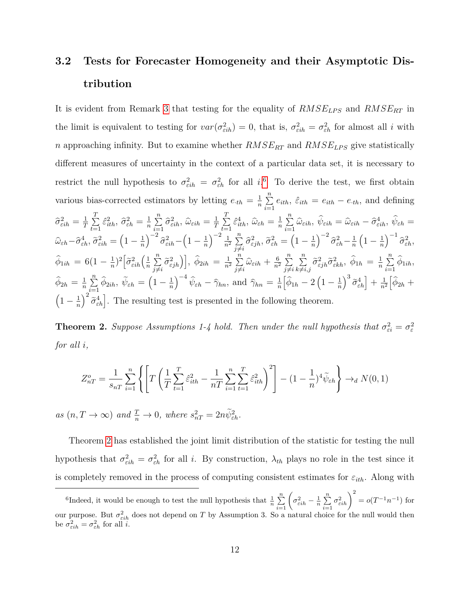## **3.2 Tests for Forecaster Homogeneity and their Asymptotic Distribution**

It is evident from Remark [3](#page-11-0) that testing for the equality of  $RMSE_{LPS}$  and  $RMSE_{RT}$  in the limit is equivalent to testing for  $var(\sigma_{\epsilon ih}^2) = 0$ , that is,  $\sigma_{\epsilon ih}^2 = \sigma_{\epsilon h}^2$  for almost all *i* with *n* approaching infinity. But to examine whether  $RMSE_{RT}$  and  $RMSE_{LPS}$  give statistically different measures of uncertainty in the context of a particular data set, it is necessary to restrict the null hypothesis to  $\sigma_{\epsilon i h}^2 = \sigma_{\epsilon h}^2$  for all *i*.<sup>[6](#page-12-0)</sup> To derive the test, we first obtain various bias-corrected estimators by letting  $e_{th} = \frac{1}{n}$  $\frac{1}{n}$   $\sum_{n=1}^{n}$  $\sum_{i=1}^{\infty} e_{ith}$ ,  $\hat{\varepsilon}_{ith} = e_{ith} - e_{-th}$ , and defining  $\hat{\sigma}_{\varepsilon i h}^2 = \frac{1}{T}$  $\frac{1}{T}$   $\sum_{i=1}^{T}$  $\sum_{t=1}^{1} \hat{\varepsilon}_{ith}^2$ ,  $\hat{\sigma}_{\varepsilon h}^2 = \frac{1}{n}$  $\frac{1}{n}$  $\sum_{n=1}^{n}$  $\sum_{i=1}^n \widehat{\sigma}_{\varepsilon i h}^2$ ,  $\widehat{\omega}_{\varepsilon i h} = \frac{1}{T}$  $\frac{1}{T}$   $\sum_{i=1}^{T}$  $\sum_{t=1}^{1} \hat{\varepsilon}_{ith}^4$ ,  $\hat{\omega}_{\varepsilon h} = \frac{1}{n}$  $\frac{1}{n}$   $\sum_{n=1}^{n}$  $\sum_{i=1}^{N} \widehat{\omega}_{\varepsilon i h}, \, \widehat{\psi}_{\varepsilon i h} = \widehat{\omega}_{\varepsilon i h} - \widehat{\sigma}_{\varepsilon i h}^{4}, \, \widehat{\psi}_{\varepsilon h} =$  $\widehat{\omega}_{\varepsilon h} - \widehat{\sigma}_{\varepsilon h}^4, \, \widetilde{\sigma}_{\varepsilon i h}^2 = \left( 1 - \frac{1}{n} \right)$ *n*  $\int^{-2} \hat{\sigma}_{\varepsilon i h}^2 - \left(1 - \frac{1}{n}\right)$ *n*  $\big\}^{-2}$   $\overline{\perp}$  $rac{1}{n^2}$  $\sum_{i=1}^n$  $\sum\limits_{j\neq i}^n \widehat{\sigma}_{\varepsilon jh}^2,\, \widetilde{\sigma}_{\varepsilon h}^2 = \left(1-\frac{1}{n}\right)$ *n*  $\int$ <sup>-2</sup> $\hat{\sigma}_{\varepsilon h}^2 - \frac{1}{n}$ *n*  $\left(1-\frac{1}{n}\right)$ *n*  $\Big)^{-1} \, {\widehat\sigma}_{\varepsilon h}^2,$  $\widehat{\phi}_{1ih}$  = 6(1 –  $\frac{1}{n}$  $rac{1}{n}$ <sup>2</sup> $\left[ \tilde{\sigma}^2_{\varepsilon i h} \left( \frac{1}{n} \right) \right]$  $\frac{1}{n}$  $\sum_{i=1}^{n}$  $\left[\sum\limits_{j\neq i}^n \widetilde{\sigma}^2_{\varepsilon jh}\right)\right],\; \widehat{\phi}_{2ih}\,=\,\frac{1}{n^2}$  $\frac{1}{n^2}$  $\sum_{n=1}^n$  $\sum_{j\neq i}^n \widehat{\omega}_{\varepsilon i h} + \frac{6}{n^2}$  $\frac{6}{n^2}$   $\sum_{i=1}^{n}$  $j \neq i$  $\sum_{n=1}^{\infty}$  $\sum_{k\neq i,j}^n \widetilde{\sigma}^2_{\varepsilon j h}\widetilde{\sigma}^2_{\varepsilon k h}, \ \widehat{\phi}_{1h} \, = \, \frac{1}{n}$  $\frac{1}{n}$   $\sum_{n=1}^{n}$  $\sum_{i=1}$   $\phi_{1ih}$ ,  $\widehat{\phi}_{2h} = \frac{1}{n}$  $\frac{1}{n}$   $\sum_{n=1}^{n}$  $\sum\limits_{i=1}^n\widehat{\phi}_{2ih},\ \widetilde{\psi}_{\varepsilon h}=\Bigl(1-\frac{1}{n}\Bigr)$ *n*  $\int_{0}^{-4} \widehat{\psi}_{\varepsilon h} - \widehat{\gamma}_{h n}, \text{ and } \widehat{\gamma}_{h n} = \frac{1}{n}$ *n*  $\left[\widehat{\phi}_{1h}-2\left(1-\frac{1}{n}\right)\right]$ *n*  $\left[ \frac{3}{2} \tilde{\sigma}_{\varepsilon h}^4 \right] + \frac{1}{n^2}$ *n*<sup>2</sup>  $\left[\widehat{\phi}_{2h} + \right]$  $\left(1-\frac{1}{n}\right)$ *n*  $\int_{0}^{2} \tilde{\sigma}_{\varepsilon h}^{4}$ . The resulting test is presented in the following theorem.

<span id="page-12-1"></span>**Theorem 2.** *Suppose Assumptions 1-4 hold. Then under the null hypothesis that*  $\sigma_{\varepsilon i}^2 = \sigma_{\varepsilon}^2$ *for all i,*

$$
Z_{nT}^o = \frac{1}{s_{nT}} \sum_{i=1}^n \left\{ \left[ T \left( \frac{1}{T} \sum_{t=1}^T \hat{\varepsilon}_{ith}^2 - \frac{1}{nT} \sum_{i=1}^n \sum_{t=1}^T \hat{\varepsilon}_{ith}^2 \right)^2 \right] - (1 - \frac{1}{n})^4 \widetilde{\psi}_{\varepsilon h} \right\} \to_d N(0, 1)
$$

 $as(n, T \to \infty)$  *and*  $\frac{T}{n} \to 0$ *, where*  $s_{nT}^2 = 2n\tilde{\psi}_{\varepsilon h}^2$ *.* 

Theorem [2](#page-12-1) has established the joint limit distribution of the statistic for testing the null hypothesis that  $\sigma_{\epsilon i h}^2 = \sigma_{\epsilon h}^2$  for all *i*. By construction,  $\lambda_{th}$  plays no role in the test since it is completely removed in the process of computing consistent estimates for  $\varepsilon_{ith}$ . Along with

<span id="page-12-0"></span><sup>&</sup>lt;sup>6</sup>Indeed, it would be enough to test the null hypothesis that  $\frac{1}{n} \sum_{i=1}^{n} \left( \sigma_{\varepsilon i h}^2 - \frac{1}{n} \sum_{i=1}^{n} \sigma_{\varepsilon i h}^2 \right)^2 = o(T^{-1}n^{-1})$  for our purpose. But  $\sigma_{\epsilon i h}^2$  does not depend on *T* by Assumption 3. So a natural choice for the null would then be  $\sigma_{\varepsilon i h}^2 = \sigma_{\varepsilon h}^2$  for all *i*.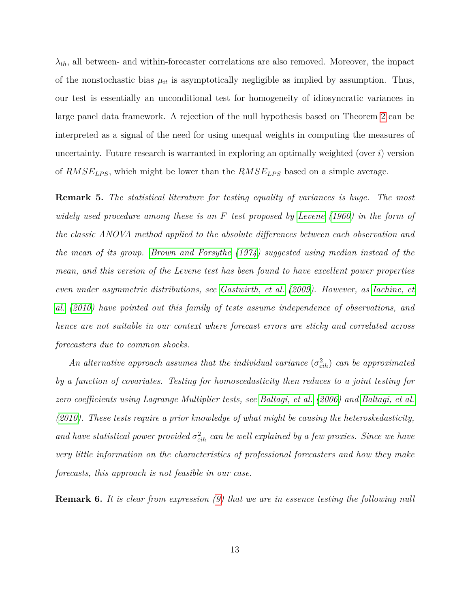$\lambda_{th}$ , all between- and within-forecaster correlations are also removed. Moreover, the impact of the nonstochastic bias  $\mu_{it}$  is asymptotically negligible as implied by assumption. Thus, our test is essentially an unconditional test for homogeneity of idiosyncratic variances in large panel data framework. A rejection of the null hypothesis based on Theorem [2](#page-12-1) can be interpreted as a signal of the need for using unequal weights in computing the measures of uncertainty. Future research is warranted in exploring an optimally weighted (over *i*) version of *RMSELP S*, which might be lower than the *RMSELP S* based on a simple average.

**Remark 5.** *The statistical literature for testing equality of variances is huge. The most widely used procedure among these is an F test proposed by [Levene](#page-28-6) [\(1960\)](#page-28-6) in the form of the classic ANOVA method applied to the absolute differences between each observation and the mean of its group. [Brown and Forsythe](#page-24-4) [\(1974\)](#page-24-4) suggested using median instead of the mean, and this version of the Levene test has been found to have excellent power properties even under asymmetric distributions, see [Gastwirth, et al.](#page-26-4) [\(2009\)](#page-26-4). However, as [Iachine, et](#page-27-8) [al.](#page-27-8) [\(2010\)](#page-27-8) have pointed out this family of tests assume independence of observations, and hence are not suitable in our context where forecast errors are sticky and correlated across forecasters due to common shocks.*

*An alternative approach assumes that the individual variance*  $(\sigma_{\epsilon ih}^2)$  *can be approximated by a function of covariates. Testing for homoscedasticity then reduces to a joint testing for zero coefficients using Lagrange Multiplier tests, see [Baltagi, et al.](#page-24-5) [\(2006\)](#page-24-5) and [Baltagi, et al.](#page-24-6) [\(2010\)](#page-24-6). These tests require a prior knowledge of what might be causing the heteroskedasticity,* and have statistical power provided  $\sigma_{\epsilon i h}^2$  can be well explained by a few proxies. Since we have *very little information on the characteristics of professional forecasters and how they make forecasts, this approach is not feasible in our case.*

**Remark 6.** *It is clear from expression [\(9\)](#page-11-1) that we are in essence testing the following null*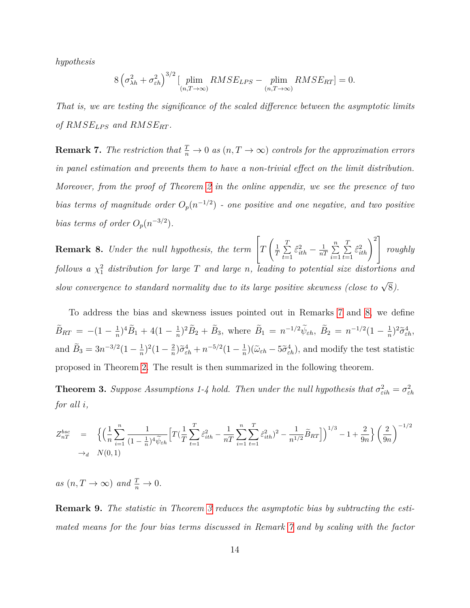*hypothesis*

$$
8\left(\sigma_{\lambda h}^2 + \sigma_{\varepsilon h}^2\right)^{3/2} \left[\min_{(n,T\to\infty)} RMSE_{LPS} - \min_{(n,T\to\infty)} RMSE_{RT} \right] = 0.
$$

*That is, we are testing the significance of the scaled difference between the asymptotic limits of*  $RMSE_{LPS}$  and  $RMSE_{RT}$ .

<span id="page-14-0"></span>**Remark 7.** *The restriction that*  $\frac{T}{n} \to 0$  *as*  $(n, T \to \infty)$  *controls for the approximation errors in panel estimation and prevents them to have a non-trivial effect on the limit distribution. Moreover, from the proof of Theorem [2](#page-12-1) in the online appendix, we see the presence of two bias terms of magnitude order*  $O_p(n^{-1/2})$  *- one positive and one negative, and two positive bias terms of order*  $O_p(n^{-3/2})$ *.* 

<span id="page-14-1"></span>**Remark 8.** *Under the null hypothesis, the term*  $\lceil$  $\vert T \vert$  $\Big($  1  $\frac{1}{T}$   $\sum_{i=1}^{T}$  $\sum_{t=1}^{1} \hat{\varepsilon}_{ith}^2 - \frac{1}{n}$  $\frac{1}{nT}$   $\sum_{n=1}^{n}$ *i*=1  $\sum_{i=1}^{T}$  $\sum_{t=1}^T \hat{\varepsilon}_{ith}^2\bigg)^2\Bigg]$  *roughly*  $f$ ollows a  $\chi^2_1$  distribution for large  $T$  and large  $n$ , leading to potential size distortions and *slow convergence to standard normality due to its large positive skewness (close to*  $\sqrt{8}$ ).

To address the bias and skewness issues pointed out in Remarks [7](#page-14-0) and [8,](#page-14-1) we define  $\widetilde{B}_{RT} = -(1 - \frac{1}{n})$  $\frac{1}{n}$ <sup>3</sup> $\widetilde{B}_1$  + 4(1 –  $\frac{1}{n}$  $\frac{1}{n}$ )<sup>2</sup> $\tilde{B}_2 + \tilde{B}_3$ , where  $\tilde{B}_1 = n^{-1/2} \tilde{\psi}_{\varepsilon h}, \ \tilde{B}_2 = n^{-1/2} (1 - \frac{1}{n})$  $(\frac{1}{n})^2 \tilde{\sigma}_{\varepsilon h}^4$ , and  $\tilde{B}_3 = 3n^{-3/2}(1 - \frac{1}{n})$  $\frac{1}{n}$ <sup>2</sup> $(1-\frac{2}{n})$  $\frac{2}{n}$ ) $\tilde{\sigma}_{\varepsilon h}^4 + n^{-5/2} (1 - \frac{1}{n})$  $\frac{1}{n}$ )( $\tilde{\omega}_{\varepsilon h}$  –  $5\tilde{\sigma}_{\varepsilon h}^4$ ), and modify the test statistic proposed in Theorem [2.](#page-12-1) The result is then summarized in the following theorem.

<span id="page-14-2"></span>**Theorem 3.** *Suppose Assumptions 1-4 hold. Then under the null hypothesis that*  $\sigma_{\varepsilon i h}^2 = \sigma_{\varepsilon h}^2$ *for all i,*

$$
Z_{nT}^{bsc} = \left\{ \left( \frac{1}{n} \sum_{i=1}^{n} \frac{1}{(1 - \frac{1}{n})^4 \widetilde{\psi}_{\varepsilon h}} \left[ T(\frac{1}{T} \sum_{t=1}^{T} \widehat{\varepsilon}_{ith}^2 - \frac{1}{nT} \sum_{i=1}^{n} \sum_{t=1}^{T} \widehat{\varepsilon}_{ith}^2)^2 - \frac{1}{n^{1/2}} \widetilde{B}_{RT} \right] \right\}^{1/3} - 1 + \frac{2}{9n} \right\} \left( \frac{2}{9n} \right)^{-1/2}
$$
  
\n
$$
\rightarrow_d N(0, 1)
$$

 $as (n, T \to \infty)$  and  $\frac{T}{n} \to 0$ .

**Remark 9.** *The statistic in Theorem [3](#page-14-2) reduces the asymptotic bias by subtracting the estimated means for the four bias terms discussed in Remark [7](#page-14-0) and by scaling with the factor*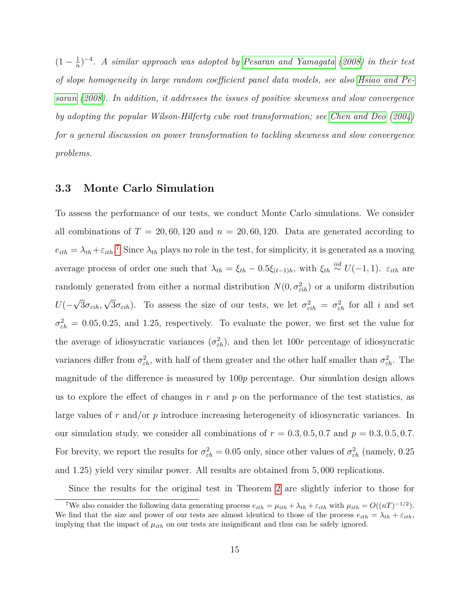$(1 - \frac{1}{n})$ *n* ) −4 *. A similar approach was adopted by [Pesaran and Yamagata](#page-29-9) [\(2008\)](#page-29-9) in their test of slope homogeneity in large random coefficient panel data models, see also [Hsiao and Pe](#page-27-9)[saran](#page-27-9) [\(2008\)](#page-27-9). In addition, it addresses the issues of positive skewness and slow convergence by adopting the popular Wilson-Hilferty cube root transformation; see [Chen and Deo](#page-25-7) [\(2004\)](#page-25-7) for a general discussion on power transformation to tackling skewness and slow convergence problems.*

### **3.3 Monte Carlo Simulation**

To assess the performance of our tests, we conduct Monte Carlo simulations. We consider all combinations of  $T = 20, 60, 120$  and  $n = 20, 60, 120$ . Data are generated according to  $e_{ith} = \lambda_{th} + \varepsilon_{ith}$ .<sup>[7](#page-15-0)</sup> Since  $\lambda_{th}$  plays no role in the test, for simplicity, it is generated as a moving average process of order one such that  $\lambda_{th} = \xi_{th} - 0.5\xi_{(t-1)h}$ , with  $\xi_{th} \stackrel{iid}{\sim} U(-1, 1)$ .  $\varepsilon_{ith}$  are randomly generated from either a normal distribution  $N(0, \sigma_{\epsilon ih}^2)$  or a uniform distribution *U*(− √ 3*σεih,* √  $\overline{3}\sigma_{\varepsilon i h}$ ). To assess the size of our tests, we let  $\sigma_{\varepsilon i h}^2 = \sigma_{\varepsilon h}^2$  for all *i* and set  $\sigma_{\varepsilon h}^2 = 0.05, 0.25, \text{ and } 1.25, \text{ respectively.}$  To evaluate the power, we first set the value for the average of idiosyncratic variances  $(\sigma_{\varepsilon h}^2)$ , and then let 100*r* percentage of idiosyncratic variances differ from  $\sigma_{\varepsilon h}^2$ , with half of them greater and the other half smaller than  $\sigma_{\varepsilon h}^2$ . The magnitude of the difference is measured by 100*p* percentage. Our simulation design allows us to explore the effect of changes in  $r$  and  $p$  on the performance of the test statistics, as large values of *r* and/or *p* introduce increasing heterogeneity of idiosyncratic variances. In our simulation study, we consider all combinations of  $r = 0.3, 0.5, 0.7$  and  $p = 0.3, 0.5, 0.7$ . For brevity, we report the results for  $\sigma_{\varepsilon h}^2 = 0.05$  only, since other values of  $\sigma_{\varepsilon h}^2$  (namely, 0.25 and 1*.*25) yield very similar power. All results are obtained from 5*,* 000 replications.

<span id="page-15-0"></span>Since the results for the original test in Theorem [2](#page-12-1) are slightly inferior to those for

<sup>&</sup>lt;sup>7</sup>We also consider the following data generating process  $e_{ith} = \mu_{ith} + \lambda_{th} + \varepsilon_{ith}$  with  $\mu_{ith} = O((nT)^{-1/2})$ . We find that the size and power of our tests are almost identical to those of the process  $e_{ith} = \lambda_{th} + \varepsilon_{ith}$ , implying that the impact of  $\mu_{ith}$  on our tests are insignificant and thus can be safely ignored.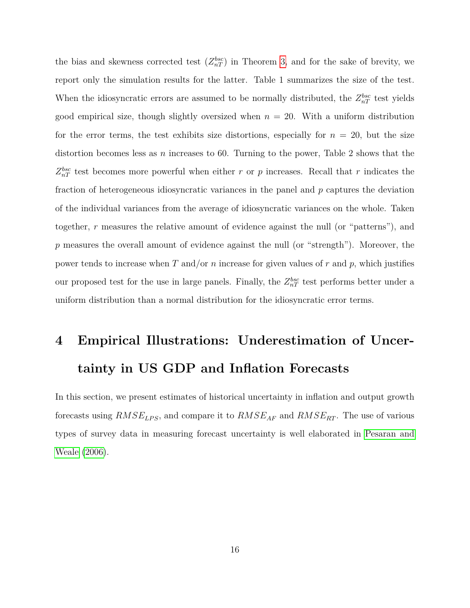the bias and skewness corrected test  $(Z_{nT}^{bsc})$  in Theorem [3,](#page-14-2) and for the sake of brevity, we report only the simulation results for the latter. Table 1 summarizes the size of the test. When the idiosyncratic errors are assumed to be normally distributed, the  $Z_{nT}^{bsc}$  test yields good empirical size, though slightly oversized when  $n = 20$ . With a uniform distribution for the error terms, the test exhibits size distortions, especially for  $n = 20$ , but the size distortion becomes less as *n* increases to 60. Turning to the power, Table 2 shows that the  $Z_{nT}^{bsc}$  test becomes more powerful when either *r* or *p* increases. Recall that *r* indicates the fraction of heterogeneous idiosyncratic variances in the panel and *p* captures the deviation of the individual variances from the average of idiosyncratic variances on the whole. Taken together, *r* measures the relative amount of evidence against the null (or "patterns"), and *p* measures the overall amount of evidence against the null (or "strength"). Moreover, the power tends to increase when *T* and/or *n* increase for given values of *r* and *p*, which justifies our proposed test for the use in large panels. Finally, the  $Z_{nT}^{bsc}$  test performs better under a uniform distribution than a normal distribution for the idiosyncratic error terms.

# **4 Empirical Illustrations: Underestimation of Uncertainty in US GDP and Inflation Forecasts**

In this section, we present estimates of historical uncertainty in inflation and output growth forecasts using  $RMSE_{LPS}$ , and compare it to  $RMSE_{AF}$  and  $RMSE_{RT}$ . The use of various types of survey data in measuring forecast uncertainty is well elaborated in [Pesaran and](#page-29-5) [Weale](#page-29-5) [\(2006\)](#page-29-5).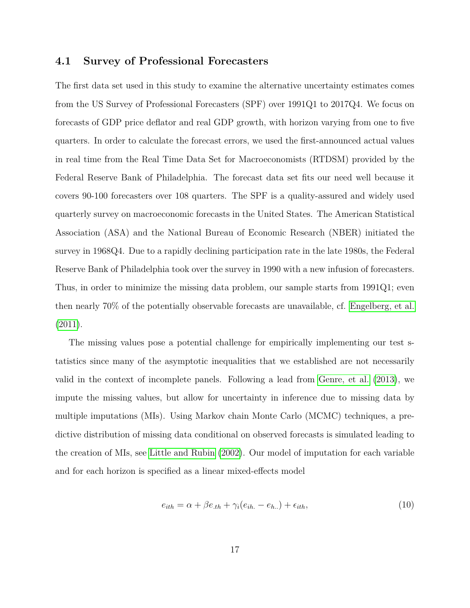### **4.1 Survey of Professional Forecasters**

The first data set used in this study to examine the alternative uncertainty estimates comes from the US Survey of Professional Forecasters (SPF) over 1991Q1 to 2017Q4. We focus on forecasts of GDP price deflator and real GDP growth, with horizon varying from one to five quarters. In order to calculate the forecast errors, we used the first-announced actual values in real time from the Real Time Data Set for Macroeconomists (RTDSM) provided by the Federal Reserve Bank of Philadelphia. The forecast data set fits our need well because it covers 90-100 forecasters over 108 quarters. The SPF is a quality-assured and widely used quarterly survey on macroeconomic forecasts in the United States. The American Statistical Association (ASA) and the National Bureau of Economic Research (NBER) initiated the survey in 1968Q4. Due to a rapidly declining participation rate in the late 1980s, the Federal Reserve Bank of Philadelphia took over the survey in 1990 with a new infusion of forecasters. Thus, in order to minimize the missing data problem, our sample starts from 1991Q1; even then nearly 70% of the potentially observable forecasts are unavailable, cf. [Engelberg, et al.](#page-26-5) [\(2011\)](#page-26-5).

The missing values pose a potential challenge for empirically implementing our test statistics since many of the asymptotic inequalities that we established are not necessarily valid in the context of incomplete panels. Following a lead from [Genre, et al.](#page-27-10) [\(2013\)](#page-27-10), we impute the missing values, but allow for uncertainty in inference due to missing data by multiple imputations (MIs). Using Markov chain Monte Carlo (MCMC) techniques, a predictive distribution of missing data conditional on observed forecasts is simulated leading to the creation of MIs, see [Little and Rubin](#page-28-7) [\(2002\)](#page-28-7). Our model of imputation for each variable and for each horizon is specified as a linear mixed-effects model

<span id="page-17-0"></span>
$$
e_{ith} = \alpha + \beta e_{.th} + \gamma_i (e_{ih.} - e_{h.}) + \epsilon_{ith}, \qquad (10)
$$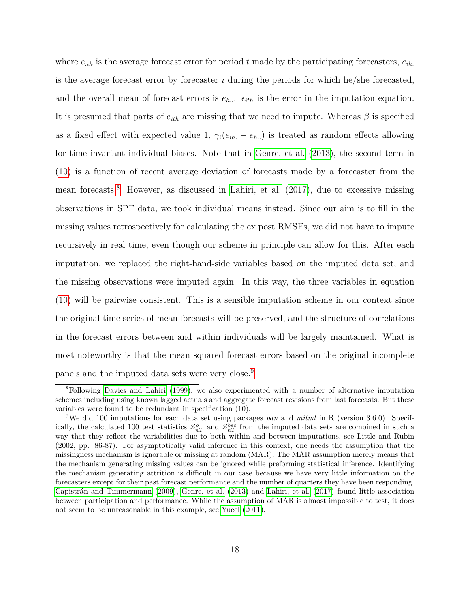where  $e_{th}$  is the average forecast error for period t made by the participating forecasters,  $e_{th}$ . is the average forecast error by forecaster *i* during the periods for which he/she forecasted, and the overall mean of forecast errors is  $e_{h}$ ...  $\epsilon_{ith}$  is the error in the imputation equation. It is presumed that parts of  $e_{ith}$  are missing that we need to impute. Whereas  $\beta$  is specified as a fixed effect with expected value 1,  $\gamma_i(e_{ih.} - e_{h.})$  is treated as random effects allowing for time invariant individual biases. Note that in [Genre, et al.](#page-27-10) [\(2013\)](#page-27-10), the second term in [\(10\)](#page-17-0) is a function of recent average deviation of forecasts made by a forecaster from the mean forecasts.[8](#page-18-0) However, as discussed in [Lahiri, et al.](#page-28-8) [\(2017\)](#page-28-8), due to excessive missing observations in SPF data, we took individual means instead. Since our aim is to fill in the missing values retrospectively for calculating the ex post RMSEs, we did not have to impute recursively in real time, even though our scheme in principle can allow for this. After each imputation, we replaced the right-hand-side variables based on the imputed data set, and the missing observations were imputed again. In this way, the three variables in equation [\(10\)](#page-17-0) will be pairwise consistent. This is a sensible imputation scheme in our context since the original time series of mean forecasts will be preserved, and the structure of correlations in the forecast errors between and within individuals will be largely maintained. What is most noteworthy is that the mean squared forecast errors based on the original incomplete panels and the imputed data sets were very close.[9](#page-18-1)

<span id="page-18-0"></span><sup>8</sup>Following [Davies and Lahiri](#page-26-6) [\(1999\)](#page-26-6), we also experimented with a number of alternative imputation schemes including using known lagged actuals and aggregate forecast revisions from last forecasts. But these variables were found to be redundant in specification (10).

<span id="page-18-1"></span><sup>9</sup>We did 100 imputations for each data set using packages *pan* and *mitml* in R (version 3.6.0). Specifically, the calculated 100 test statistics  $Z_{nT}^o$  and  $Z_{nT}^{bsc}$  from the imputed data sets are combined in such a way that they reflect the variabilities due to both within and between imputations, see Little and Rubin (2002, pp. 86-87). For asymptotically valid inference in this context, one needs the assumption that the missingness mechanism is ignorable or missing at random (MAR). The MAR assumption merely means that the mechanism generating missing values can be ignored while preforming statistical inference. Identifying the mechanism generating attrition is difficult in our case because we have very little information on the forecasters except for their past forecast performance and the number of quarters they have been responding. [Capistrán and Timmermann](#page-25-8) [\(2009\)](#page-25-8), [Genre, et al.](#page-27-10) [\(2013\)](#page-27-10) and [Lahiri, et al.](#page-28-8) [\(2017\)](#page-28-8) found little association between participation and performance. While the assumption of MAR is almost impossible to test, it does not seem to be unreasonable in this example, see [Yucel](#page-30-4) [\(2011\)](#page-30-4).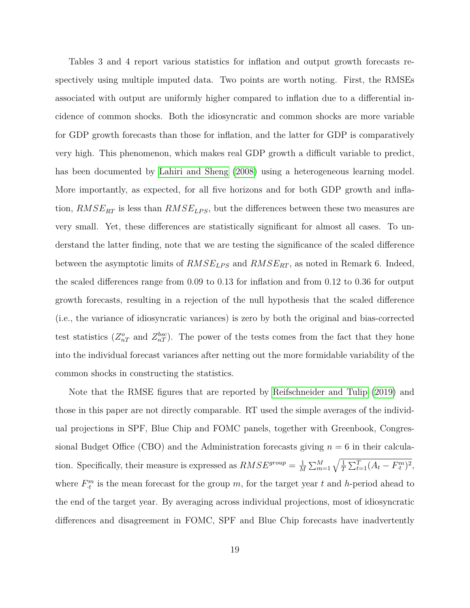Tables 3 and 4 report various statistics for inflation and output growth forecasts respectively using multiple imputed data. Two points are worth noting. First, the RMSEs associated with output are uniformly higher compared to inflation due to a differential incidence of common shocks. Both the idiosyncratic and common shocks are more variable for GDP growth forecasts than those for inflation, and the latter for GDP is comparatively very high. This phenomenon, which makes real GDP growth a difficult variable to predict, has been documented by [Lahiri and Sheng](#page-28-3) [\(2008\)](#page-28-3) using a heterogeneous learning model. More importantly, as expected, for all five horizons and for both GDP growth and inflation,  $RMSE_{RT}$  is less than  $RMSE_{LPS}$ , but the differences between these two measures are very small. Yet, these differences are statistically significant for almost all cases. To understand the latter finding, note that we are testing the significance of the scaled difference between the asymptotic limits of  $RMSE_{LPS}$  and  $RMSE_{RT}$ , as noted in Remark 6. Indeed, the scaled differences range from 0.09 to 0.13 for inflation and from 0.12 to 0.36 for output growth forecasts, resulting in a rejection of the null hypothesis that the scaled difference (i.e., the variance of idiosyncratic variances) is zero by both the original and bias-corrected test statistics  $(Z_{nT}^o$  and  $Z_{nT}^{bsc}$ ). The power of the tests comes from the fact that they hone into the individual forecast variances after netting out the more formidable variability of the common shocks in constructing the statistics.

Note that the RMSE figures that are reported by [Reifschneider and Tulip](#page-29-3) [\(2019\)](#page-29-3) and those in this paper are not directly comparable. RT used the simple averages of the individual projections in SPF, Blue Chip and FOMC panels, together with Greenbook, Congressional Budget Office (CBO) and the Administration forecasts giving  $n = 6$  in their calculation. Specifically, their measure is expressed as  $RMSE^{group} = \frac{1}{M}$  $\frac{1}{M} \sum_{m=1}^{M} \sqrt{\frac{1}{T} \sum_{t=1}^{T} (A_t - F_{\cdot t}^m)^2},$ where  $F_{\cdot t}^{m}$  is the mean forecast for the group *m*, for the target year *t* and *h*-period ahead to the end of the target year. By averaging across individual projections, most of idiosyncratic differences and disagreement in FOMC, SPF and Blue Chip forecasts have inadvertently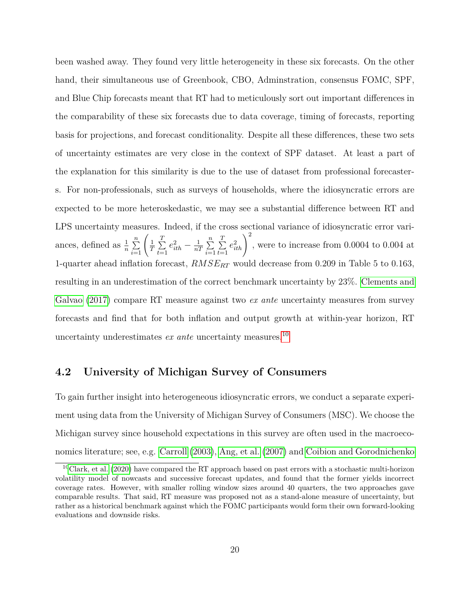been washed away. They found very little heterogeneity in these six forecasts. On the other hand, their simultaneous use of Greenbook, CBO, Adminstration, consensus FOMC, SPF, and Blue Chip forecasts meant that RT had to meticulously sort out important differences in the comparability of these six forecasts due to data coverage, timing of forecasts, reporting basis for projections, and forecast conditionality. Despite all these differences, these two sets of uncertainty estimates are very close in the context of SPF dataset. At least a part of the explanation for this similarity is due to the use of dataset from professional forecasters. For non-professionals, such as surveys of households, where the idiosyncratic errors are expected to be more heteroskedastic, we may see a substantial difference between RT and LPS uncertainty measures. Indeed, if the cross sectional variance of idiosyncratic error variances, defined as  $\frac{1}{n} \sum_{i=1}^{n} \left( \frac{1}{T} \right)$  $\frac{1}{T}$   $\sum_{i=1}^{T}$  $\sum_{t=1}^{1} e_{ith}^2 - \frac{1}{n}$  $rac{1}{nT}\sum_{i=1}^n$ *i*=1  $\sum_{i=1}^{T}$  $\sum_{t=1}^{T} e_{ith}^2 \bigg)^2$ , were to increase from 0.0004 to 0.004 at 1-quarter ahead inflation forecast, *RMSERT* would decrease from 0.209 in Table 5 to 0.163, resulting in an underestimation of the correct benchmark uncertainty by 23%. [Clements and](#page-25-9) [Galvao](#page-25-9) [\(2017\)](#page-25-9) compare RT measure against two *ex ante* uncertainty measures from survey forecasts and find that for both inflation and output growth at within-year horizon, RT uncertainty underestimates *ex ante* uncertainty measures.[10](#page-20-0)

### **4.2 University of Michigan Survey of Consumers**

To gain further insight into heterogeneous idiosyncratic errors, we conduct a separate experiment using data from the University of Michigan Survey of Consumers (MSC). We choose the Michigan survey since household expectations in this survey are often used in the macroeconomics literature; see, e.g. [Carroll](#page-25-10) [\(2003\)](#page-25-10), [Ang, et al.](#page-24-7) [\(2007\)](#page-24-7) and [Coibion and Gorodnichenko](#page-26-7)

<span id="page-20-0"></span> $10$ [Clark, et al.](#page-25-4) [\(2020\)](#page-25-4) have compared the RT approach based on past errors with a stochastic multi-horizon volatility model of nowcasts and successive forecast updates, and found that the former yields incorrect coverage rates. However, with smaller rolling window sizes around 40 quarters, the two approaches gave comparable results. That said, RT measure was proposed not as a stand-alone measure of uncertainty, but rather as a historical benchmark against which the FOMC participants would form their own forward-looking evaluations and downside risks.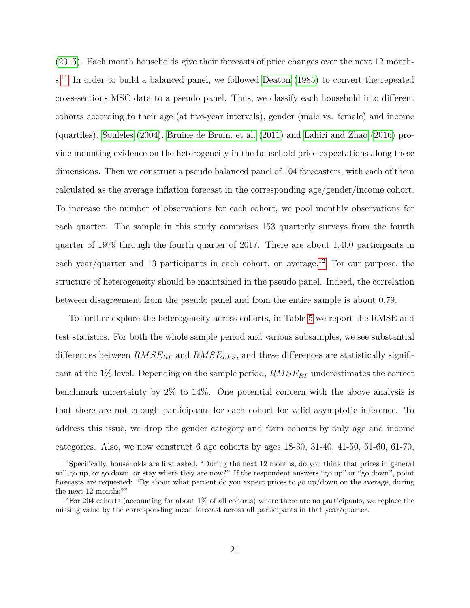[\(2015\)](#page-26-7). Each month households give their forecasts of price changes over the next 12 month-s.<sup>[11](#page-21-0)</sup> In order to build a balanced panel, we followed [Deaton](#page-26-8) [\(1985\)](#page-26-8) to convert the repeated cross-sections MSC data to a pseudo panel. Thus, we classify each household into different cohorts according to their age (at five-year intervals), gender (male vs. female) and income (quartiles). [Souleles](#page-30-5) [\(2004\)](#page-30-5), [Bruine de Bruin, et al.](#page-24-8) [\(2011\)](#page-24-8) and [Lahiri and Zhao](#page-28-9) [\(2016\)](#page-28-9) provide mounting evidence on the heterogeneity in the household price expectations along these dimensions. Then we construct a pseudo balanced panel of 104 forecasters, with each of them calculated as the average inflation forecast in the corresponding age/gender/income cohort. To increase the number of observations for each cohort, we pool monthly observations for each quarter. The sample in this study comprises 153 quarterly surveys from the fourth quarter of 1979 through the fourth quarter of 2017. There are about 1,400 participants in each year/quarter and 13 participants in each cohort, on average.<sup>[12](#page-21-1)</sup> For our purpose, the structure of heterogeneity should be maintained in the pseudo panel. Indeed, the correlation between disagreement from the pseudo panel and from the entire sample is about 0.79.

To further explore the heterogeneity across cohorts, in Table [5](#page-34-0) we report the RMSE and test statistics. For both the whole sample period and various subsamples, we see substantial differences between *RMSERT* and *RMSELP S*, and these differences are statistically significant at the 1% level. Depending on the sample period, *RMSERT* underestimates the correct benchmark uncertainty by 2% to 14%. One potential concern with the above analysis is that there are not enough participants for each cohort for valid asymptotic inference. To address this issue, we drop the gender category and form cohorts by only age and income categories. Also, we now construct 6 age cohorts by ages 18-30, 31-40, 41-50, 51-60, 61-70,

<span id="page-21-0"></span><sup>11</sup>Specifically, households are first asked, "During the next 12 months, do you think that prices in general will go up, or go down, or stay where they are now?" If the respondent answers "go up" or "go down", point forecasts are requested: "By about what percent do you expect prices to go up/down on the average, during the next 12 months?"

<span id="page-21-1"></span><sup>&</sup>lt;sup>12</sup>For 204 cohorts (accounting for about 1% of all cohorts) where there are no participants, we replace the missing value by the corresponding mean forecast across all participants in that year/quarter.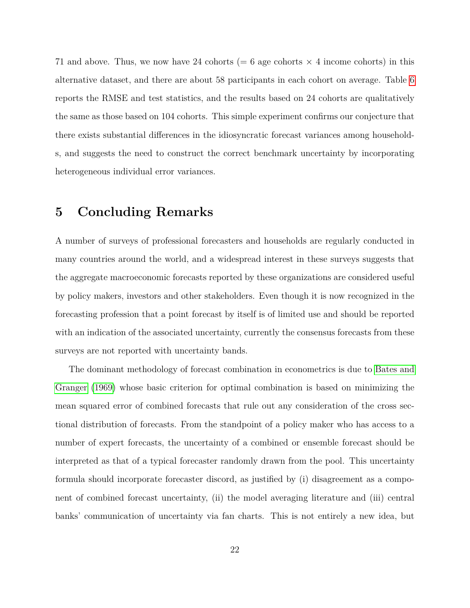71 and above. Thus, we now have 24 cohorts  $(= 6$  age cohorts  $\times$  4 income cohorts) in this alternative dataset, and there are about 58 participants in each cohort on average. Table [6](#page-34-0) reports the RMSE and test statistics, and the results based on 24 cohorts are qualitatively the same as those based on 104 cohorts. This simple experiment confirms our conjecture that there exists substantial differences in the idiosyncratic forecast variances among households, and suggests the need to construct the correct benchmark uncertainty by incorporating heterogeneous individual error variances.

### **5 Concluding Remarks**

A number of surveys of professional forecasters and households are regularly conducted in many countries around the world, and a widespread interest in these surveys suggests that the aggregate macroeconomic forecasts reported by these organizations are considered useful by policy makers, investors and other stakeholders. Even though it is now recognized in the forecasting profession that a point forecast by itself is of limited use and should be reported with an indication of the associated uncertainty, currently the consensus forecasts from these surveys are not reported with uncertainty bands.

The dominant methodology of forecast combination in econometrics is due to [Bates and](#page-24-0) [Granger](#page-24-0) [\(1969\)](#page-24-0) whose basic criterion for optimal combination is based on minimizing the mean squared error of combined forecasts that rule out any consideration of the cross sectional distribution of forecasts. From the standpoint of a policy maker who has access to a number of expert forecasts, the uncertainty of a combined or ensemble forecast should be interpreted as that of a typical forecaster randomly drawn from the pool. This uncertainty formula should incorporate forecaster discord, as justified by (i) disagreement as a component of combined forecast uncertainty, (ii) the model averaging literature and (iii) central banks' communication of uncertainty via fan charts. This is not entirely a new idea, but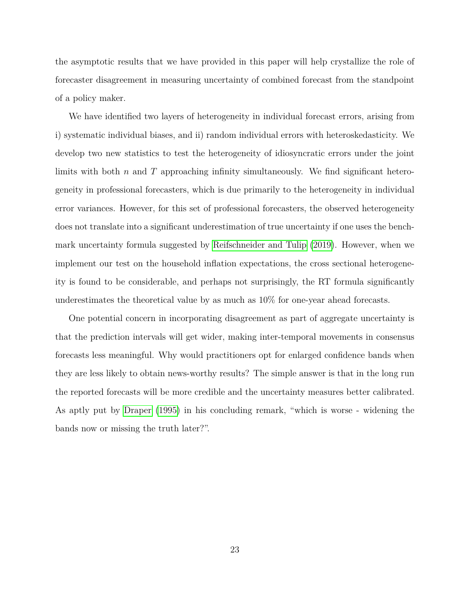the asymptotic results that we have provided in this paper will help crystallize the role of forecaster disagreement in measuring uncertainty of combined forecast from the standpoint of a policy maker.

We have identified two layers of heterogeneity in individual forecast errors, arising from i) systematic individual biases, and ii) random individual errors with heteroskedasticity. We develop two new statistics to test the heterogeneity of idiosyncratic errors under the joint limits with both *n* and *T* approaching infinity simultaneously. We find significant heterogeneity in professional forecasters, which is due primarily to the heterogeneity in individual error variances. However, for this set of professional forecasters, the observed heterogeneity does not translate into a significant underestimation of true uncertainty if one uses the benchmark uncertainty formula suggested by [Reifschneider and Tulip](#page-29-3) [\(2019\)](#page-29-3). However, when we implement our test on the household inflation expectations, the cross sectional heterogeneity is found to be considerable, and perhaps not surprisingly, the RT formula significantly underestimates the theoretical value by as much as 10% for one-year ahead forecasts.

One potential concern in incorporating disagreement as part of aggregate uncertainty is that the prediction intervals will get wider, making inter-temporal movements in consensus forecasts less meaningful. Why would practitioners opt for enlarged confidence bands when they are less likely to obtain news-worthy results? The simple answer is that in the long run the reported forecasts will be more credible and the uncertainty measures better calibrated. As aptly put by [Draper](#page-26-1) [\(1995\)](#page-26-1) in his concluding remark, "which is worse - widening the bands now or missing the truth later?".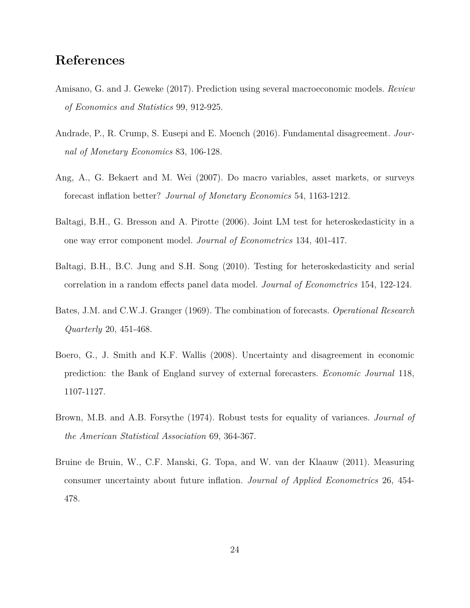### **References**

- <span id="page-24-1"></span>Amisano, G. and J. Geweke (2017). Prediction using several macroeconomic models. *Review of Economics and Statistics* 99, 912-925.
- <span id="page-24-2"></span>Andrade, P., R. Crump, S. Eusepi and E. Moench (2016). Fundamental disagreement. *Journal of Monetary Economics* 83, 106-128.
- <span id="page-24-7"></span>Ang, A., G. Bekaert and M. Wei (2007). Do macro variables, asset markets, or surveys forecast inflation better? *Journal of Monetary Economics* 54, 1163-1212.
- <span id="page-24-5"></span>Baltagi, B.H., G. Bresson and A. Pirotte (2006). Joint LM test for heteroskedasticity in a one way error component model. *Journal of Econometrics* 134, 401-417.
- <span id="page-24-6"></span>Baltagi, B.H., B.C. Jung and S.H. Song (2010). Testing for heteroskedasticity and serial correlation in a random effects panel data model. *Journal of Econometrics* 154, 122-124.
- <span id="page-24-0"></span>Bates, J.M. and C.W.J. Granger (1969). The combination of forecasts. *Operational Research Quarterly* 20, 451-468.
- <span id="page-24-3"></span>Boero, G., J. Smith and K.F. Wallis (2008). Uncertainty and disagreement in economic prediction: the Bank of England survey of external forecasters. *Economic Journal* 118, 1107-1127.
- <span id="page-24-4"></span>Brown, M.B. and A.B. Forsythe (1974). Robust tests for equality of variances. *Journal of the American Statistical Association* 69, 364-367.
- <span id="page-24-8"></span>Bruine de Bruin, W., C.F. Manski, G. Topa, and W. van der Klaauw (2011). Measuring consumer uncertainty about future inflation. *Journal of Applied Econometrics* 26, 454- 478.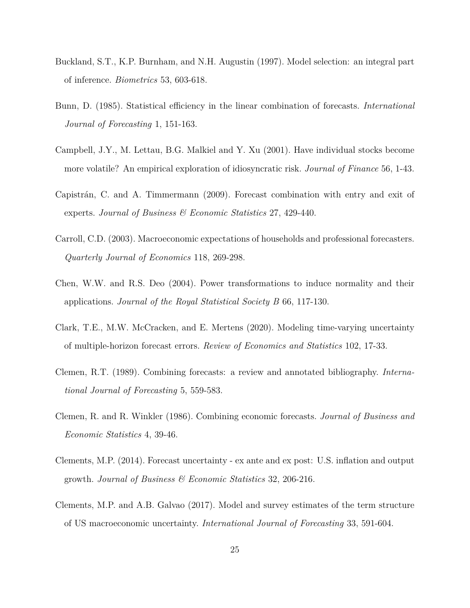- <span id="page-25-3"></span>Buckland, S.T., K.P. Burnham, and N.H. Augustin (1997). Model selection: an integral part of inference. *Biometrics* 53, 603-618.
- <span id="page-25-1"></span>Bunn, D. (1985). Statistical efficiency in the linear combination of forecasts. *International Journal of Forecasting* 1, 151-163.
- <span id="page-25-5"></span>Campbell, J.Y., M. Lettau, B.G. Malkiel and Y. Xu (2001). Have individual stocks become more volatile? An empirical exploration of idiosyncratic risk. *Journal of Finance* 56, 1-43.
- <span id="page-25-8"></span>Capistrán, C. and A. Timmermann (2009). Forecast combination with entry and exit of experts. *Journal of Business & Economic Statistics* 27, 429-440.
- <span id="page-25-10"></span>Carroll, C.D. (2003). Macroeconomic expectations of households and professional forecasters. *Quarterly Journal of Economics* 118, 269-298.
- <span id="page-25-7"></span>Chen, W.W. and R.S. Deo (2004). Power transformations to induce normality and their applications. *Journal of the Royal Statistical Society B* 66, 117-130.
- <span id="page-25-4"></span>Clark, T.E., M.W. McCracken, and E. Mertens (2020). Modeling time-varying uncertainty of multiple-horizon forecast errors. *Review of Economics and Statistics* 102, 17-33.
- <span id="page-25-0"></span>Clemen, R.T. (1989). Combining forecasts: a review and annotated bibliography. *International Journal of Forecasting* 5, 559-583.
- <span id="page-25-2"></span>Clemen, R. and R. Winkler (1986). Combining economic forecasts. *Journal of Business and Economic Statistics* 4, 39-46.
- <span id="page-25-6"></span>Clements, M.P. (2014). Forecast uncertainty - ex ante and ex post: U.S. inflation and output growth. *Journal of Business & Economic Statistics* 32, 206-216.
- <span id="page-25-9"></span>Clements, M.P. and A.B. Galvao (2017). Model and survey estimates of the term structure of US macroeconomic uncertainty. *International Journal of Forecasting* 33, 591-604.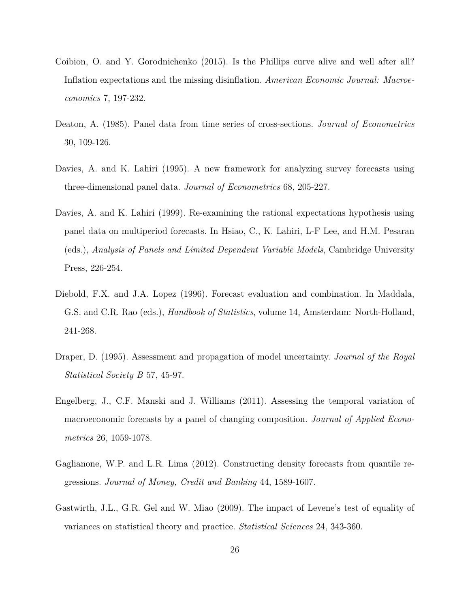- <span id="page-26-7"></span>Coibion, O. and Y. Gorodnichenko (2015). Is the Phillips curve alive and well after all? Inflation expectations and the missing disinflation. *American Economic Journal: Macroeconomics* 7, 197-232.
- <span id="page-26-8"></span>Deaton, A. (1985). Panel data from time series of cross-sections. *Journal of Econometrics* 30, 109-126.
- <span id="page-26-2"></span>Davies, A. and K. Lahiri (1995). A new framework for analyzing survey forecasts using three-dimensional panel data. *Journal of Econometrics* 68, 205-227.
- <span id="page-26-6"></span>Davies, A. and K. Lahiri (1999). Re-examining the rational expectations hypothesis using panel data on multiperiod forecasts. In Hsiao, C., K. Lahiri, L-F Lee, and H.M. Pesaran (eds.), *Analysis of Panels and Limited Dependent Variable Models*, Cambridge University Press, 226-254.
- <span id="page-26-0"></span>Diebold, F.X. and J.A. Lopez (1996). Forecast evaluation and combination. In Maddala, G.S. and C.R. Rao (eds.), *Handbook of Statistics*, volume 14, Amsterdam: North-Holland, 241-268.
- <span id="page-26-1"></span>Draper, D. (1995). Assessment and propagation of model uncertainty. *Journal of the Royal Statistical Society B* 57, 45-97.
- <span id="page-26-5"></span>Engelberg, J., C.F. Manski and J. Williams (2011). Assessing the temporal variation of macroeconomic forecasts by a panel of changing composition. *Journal of Applied Econometrics* 26, 1059-1078.
- <span id="page-26-3"></span>Gaglianone, W.P. and L.R. Lima (2012). Constructing density forecasts from quantile regressions. *Journal of Money, Credit and Banking* 44, 1589-1607.
- <span id="page-26-4"></span>Gastwirth, J.L., G.R. Gel and W. Miao (2009). The impact of Levene's test of equality of variances on statistical theory and practice. *Statistical Sciences* 24, 343-360.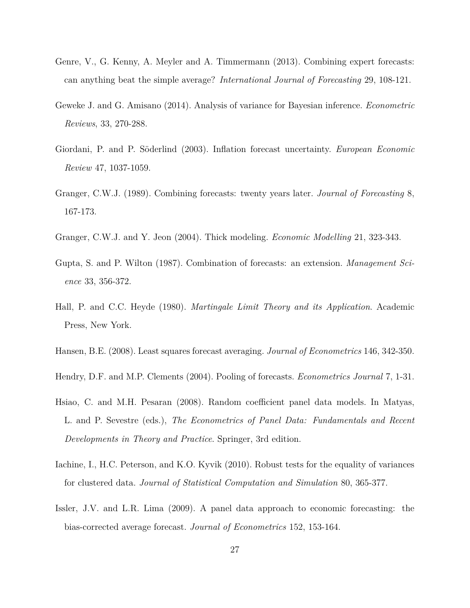- <span id="page-27-10"></span>Genre, V., G. Kenny, A. Meyler and A. Timmermann (2013). Combining expert forecasts: can anything beat the simple average? *International Journal of Forecasting* 29, 108-121.
- <span id="page-27-7"></span>Geweke J. and G. Amisano (2014). Analysis of variance for Bayesian inference. *Econometric Reviews*, 33, 270-288.
- <span id="page-27-6"></span>Giordani, P. and P. Söderlind (2003). Inflation forecast uncertainty. *European Economic Review* 47, 1037-1059.
- <span id="page-27-2"></span>Granger, C.W.J. (1989). Combining forecasts: twenty years later. *Journal of Forecasting* 8, 167-173.
- <span id="page-27-1"></span>Granger, C.W.J. and Y. Jeon (2004). Thick modeling. *Economic Modelling* 21, 323-343.
- <span id="page-27-0"></span>Gupta, S. and P. Wilton (1987). Combination of forecasts: an extension. *Management Science* 33, 356-372.
- Hall, P. and C.C. Heyde (1980). *Martingale Limit Theory and its Application*. Academic Press, New York.
- <span id="page-27-4"></span>Hansen, B.E. (2008). Least squares forecast averaging. *Journal of Econometrics* 146, 342-350.
- <span id="page-27-3"></span>Hendry, D.F. and M.P. Clements (2004). Pooling of forecasts. *Econometrics Journal* 7, 1-31.
- <span id="page-27-9"></span>Hsiao, C. and M.H. Pesaran (2008). Random coefficient panel data models. In Matyas, L. and P. Sevestre (eds.), *The Econometrics of Panel Data: Fundamentals and Recent Developments in Theory and Practice*. Springer, 3rd edition.
- <span id="page-27-8"></span>Iachine, I., H.C. Peterson, and K.O. Kyvik (2010). Robust tests for the equality of variances for clustered data. *Journal of Statistical Computation and Simulation* 80, 365-377.
- <span id="page-27-5"></span>Issler, J.V. and L.R. Lima (2009). A panel data approach to economic forecasting: the bias-corrected average forecast. *Journal of Econometrics* 152, 153-164.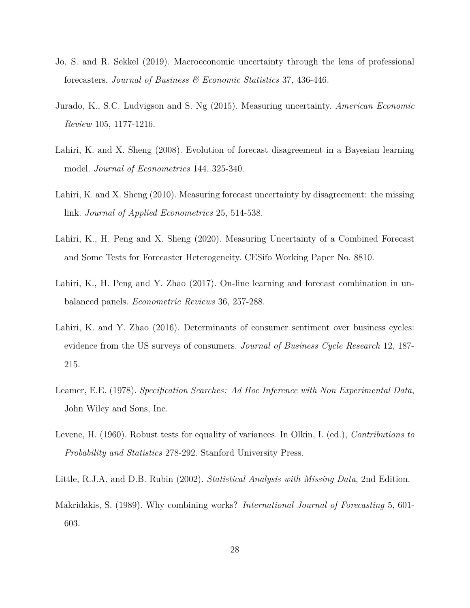- <span id="page-28-2"></span>Jo, S. and R. Sekkel (2019). Macroeconomic uncertainty through the lens of professional forecasters. *Journal of Business & Economic Statistics* 37, 436-446.
- <span id="page-28-5"></span>Jurado, K., S.C. Ludvigson and S. Ng (2015). Measuring uncertainty. *American Economic Review* 105, 1177-1216.
- <span id="page-28-3"></span>Lahiri, K. and X. Sheng (2008). Evolution of forecast disagreement in a Bayesian learning model. *Journal of Econometrics* 144, 325-340.
- <span id="page-28-4"></span>Lahiri, K. and X. Sheng (2010). Measuring forecast uncertainty by disagreement: the missing link. *Journal of Applied Econometrics* 25, 514-538.
- Lahiri, K., H. Peng and X. Sheng (2020). Measuring Uncertainty of a Combined Forecast and Some Tests for Forecaster Heterogeneity. CESifo Working Paper No. 8810.
- <span id="page-28-8"></span>Lahiri, K., H. Peng and Y. Zhao (2017). On-line learning and forecast combination in unbalanced panels. *Econometric Reviews* 36, 257-288.
- <span id="page-28-9"></span>Lahiri, K. and Y. Zhao (2016). Determinants of consumer sentiment over business cycles: evidence from the US surveys of consumers. *Journal of Business Cycle Research* 12, 187- 215.
- <span id="page-28-1"></span>Leamer, E.E. (1978). *Specification Searches: Ad Hoc Inference with Non Experimental Data*, John Wiley and Sons, Inc.
- <span id="page-28-6"></span>Levene, H. (1960). Robust tests for equality of variances. In Olkin, I. (ed.), *Contributions to Probability and Statistics* 278-292. Stanford University Press.
- <span id="page-28-7"></span>Little, R.J.A. and D.B. Rubin (2002). *Statistical Analysis with Missing Data*, 2nd Edition.
- <span id="page-28-0"></span>Makridakis, S. (1989). Why combining works? *International Journal of Forecasting* 5, 601- 603.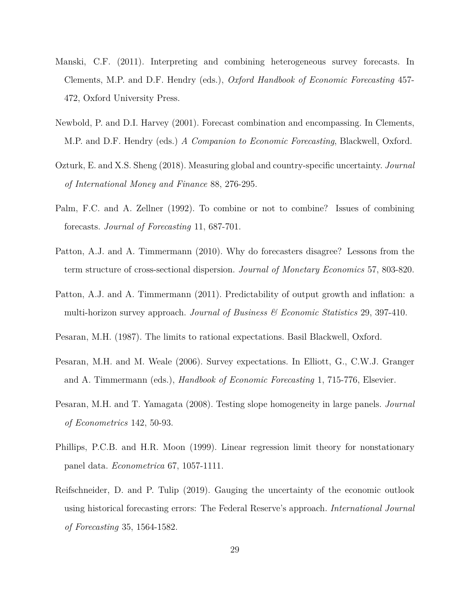- <span id="page-29-1"></span>Manski, C.F. (2011). Interpreting and combining heterogeneous survey forecasts. In Clements, M.P. and D.F. Hendry (eds.), *Oxford Handbook of Economic Forecasting* 457- 472, Oxford University Press.
- <span id="page-29-2"></span>Newbold, P. and D.I. Harvey (2001). Forecast combination and encompassing. In Clements, M.P. and D.F. Hendry (eds.) *A Companion to Economic Forecasting*, Blackwell, Oxford.
- <span id="page-29-7"></span>Ozturk, E. and X.S. Sheng (2018). Measuring global and country-specific uncertainty. *Journal of International Money and Finance* 88, 276-295.
- <span id="page-29-0"></span>Palm, F.C. and A. Zellner (1992). To combine or not to combine? Issues of combining forecasts. *Journal of Forecasting* 11, 687-701.
- <span id="page-29-4"></span>Patton, A.J. and A. Timmermann (2010). Why do forecasters disagree? Lessons from the term structure of cross-sectional dispersion. *Journal of Monetary Economics* 57, 803-820.
- <span id="page-29-8"></span>Patton, A.J. and A. Timmermann (2011). Predictability of output growth and inflation: a multi-horizon survey approach. *Journal of Business & Economic Statistics* 29, 397-410.
- <span id="page-29-6"></span>Pesaran, M.H. (1987). The limits to rational expectations. Basil Blackwell, Oxford.
- <span id="page-29-5"></span>Pesaran, M.H. and M. Weale (2006). Survey expectations. In Elliott, G., C.W.J. Granger and A. Timmermann (eds.), *Handbook of Economic Forecasting* 1, 715-776, Elsevier.
- <span id="page-29-9"></span>Pesaran, M.H. and T. Yamagata (2008). Testing slope homogeneity in large panels. *Journal of Econometrics* 142, 50-93.
- Phillips, P.C.B. and H.R. Moon (1999). Linear regression limit theory for nonstationary panel data. *Econometrica* 67, 1057-1111.
- <span id="page-29-3"></span>Reifschneider, D. and P. Tulip (2019). Gauging the uncertainty of the economic outlook using historical forecasting errors: The Federal Reserve's approach. *International Journal of Forecasting* 35, 1564-1582.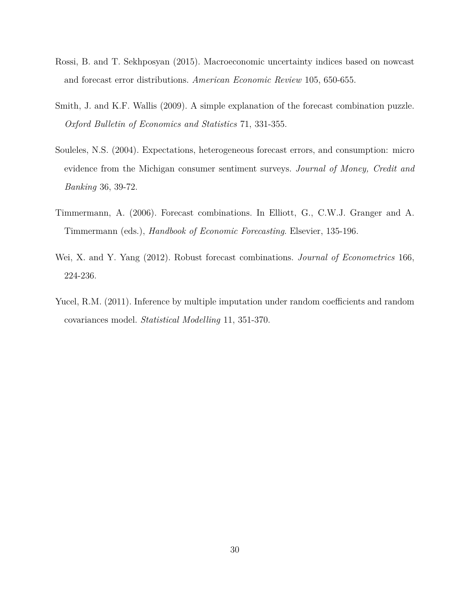- <span id="page-30-3"></span>Rossi, B. and T. Sekhposyan (2015). Macroeconomic uncertainty indices based on nowcast and forecast error distributions. *American Economic Review* 105, 650-655.
- <span id="page-30-2"></span>Smith, J. and K.F. Wallis (2009). A simple explanation of the forecast combination puzzle. *Oxford Bulletin of Economics and Statistics* 71, 331-355.
- <span id="page-30-5"></span>Souleles, N.S. (2004). Expectations, heterogeneous forecast errors, and consumption: micro evidence from the Michigan consumer sentiment surveys. *Journal of Money, Credit and Banking* 36, 39-72.
- <span id="page-30-0"></span>Timmermann, A. (2006). Forecast combinations. In Elliott, G., C.W.J. Granger and A. Timmermann (eds.), *Handbook of Economic Forecasting*. Elsevier, 135-196.
- <span id="page-30-1"></span>Wei, X. and Y. Yang (2012). Robust forecast combinations. *Journal of Econometrics* 166, 224-236.
- <span id="page-30-4"></span>Yucel, R.M. (2011). Inference by multiple imputation under random coefficients and random covariances model. *Statistical Modelling* 11, 351-370.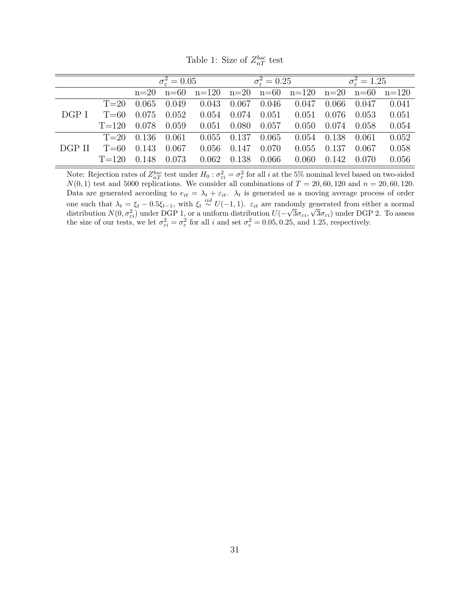|        |           | $\sigma_{\rm s}^2=0.05$ |        |       | $\sigma_{\varepsilon}^2 = 0.25$ |       |                                             | $\sigma_{\rm s}^2 = 1.25$ |       |           |
|--------|-----------|-------------------------|--------|-------|---------------------------------|-------|---------------------------------------------|---------------------------|-------|-----------|
|        |           | $n=20$                  | $n=60$ |       |                                 |       | $n=120$ $n=20$ $n=60$ $n=120$ $n=20$ $n=60$ |                           |       | $n = 120$ |
| DGP I  | $T=20$    | 0.065                   | 0.049  | 0.043 | 0.067                           | 0.046 | 0.047                                       | 0.066                     | 0.047 | 0.041     |
|        | $T=60$    | 0.075                   | 0.052  | 0.054 | 0.074                           | 0.051 | 0.051                                       | 0.076                     | 0.053 | 0.051     |
|        | $T = 120$ | 0.078                   | 0.059  | 0.051 | 0.080                           | 0.057 | 0.050                                       | 0.074                     | 0.058 | 0.054     |
| DGP II | $T=20$    | 0.136                   | 0.061  | 0.055 | 0.137                           | 0.065 | 0.054                                       | 0.138                     | 0.061 | 0.052     |
|        | $T=60$    | 0.143                   | 0.067  | 0.056 | 0.147                           | 0.070 | 0.055                                       | 0.137                     | 0.067 | 0.058     |
|        | $T = 120$ | 0.148                   | 0.073  | 0.062 | 0.138                           | 0.066 | 0.060                                       | 0.142                     | 0.070 | 0.056     |

Table 1: Size of  $Z_{nT}^{bsc}$  test

Note: Rejection rates of  $Z_{nT}^{bsc}$  test under  $H_0: \sigma_{\varepsilon i}^2 = \sigma_{\varepsilon}^2$  for all *i* at the 5% nominal level based on two-sided  $N(0,1)$  test and 5000 replications. We consider all combinations of  $T = 20, 60, 120$  and  $n = 20, 60, 120$ . Data are generated according to  $e_{it} = \lambda_t + \varepsilon_{it}$ .  $\lambda_t$  is generated as a moving average process of order one such that  $\lambda_t = \xi_t - 0.5\xi_{t-1}$ , with  $\xi_t \stackrel{iid}{\sim} U(-1,1)$ .  $\varepsilon_{it}$  are randomly generated from either a normal distribution  $N(0, \sigma_{\varepsilon i}^2)$  under DGP 1, or a uniform distribution  $U(-$ √ 3*σεi,* √  $3\sigma_{\varepsilon i}$ ) under DGP 2. To assess the size of our tests, we let  $\sigma_{\varepsilon i}^2 = \sigma_{\varepsilon}^2$  for all *i* and set  $\sigma_{\varepsilon}^2 = 0.05, 0.25,$  and 1.25, respectively.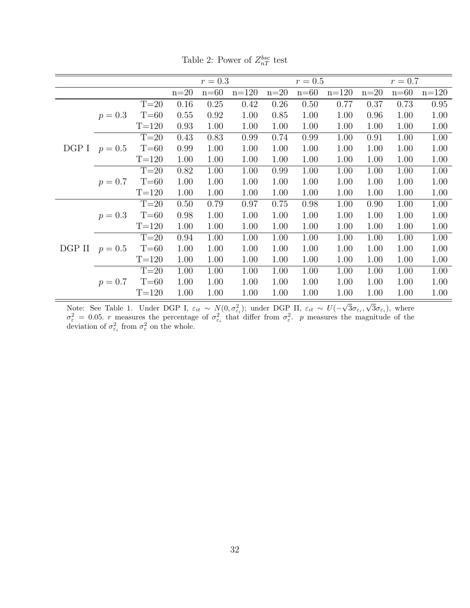|        |           |           | $r=0.3$ |        |         | $r=0.5$ |        |         | $r=0.7$ |        |         |
|--------|-----------|-----------|---------|--------|---------|---------|--------|---------|---------|--------|---------|
|        |           |           | $n=20$  | $n=60$ | $n=120$ | $n=20$  | $n=60$ | $n=120$ | $n=20$  | $n=60$ | $n=120$ |
|        |           | $T=20$    | 0.16    | 0.25   | 0.42    | 0.26    | 0.50   | 0.77    | 0.37    | 0.73   | 0.95    |
|        | $p = 0.3$ | $T = 60$  | 0.55    | 0.92   | 1.00    | 0.85    | 1.00   | 1.00    | 0.96    | 1.00   | 1.00    |
|        |           | $T = 120$ | 0.93    | 1.00   | 1.00    | 1.00    | 1.00   | 1.00    | 1.00    | 1.00   | 1.00    |
|        |           | $T=20$    | 0.43    | 0.83   | 0.99    | 0.74    | 0.99   | 1.00    | 0.91    | 1.00   | 1.00    |
| DGP I  | $p = 0.5$ | $T=60$    | 0.99    | 1.00   | 1.00    | 1.00    | 1.00   | 1.00    | 1.00    | 1.00   | 1.00    |
|        |           | $T = 120$ | 1.00    | 1.00   | 1.00    | 1.00    | 1.00   | 1.00    | 1.00    | 1.00   | 1.00    |
|        |           | $T=20$    | 0.82    | 1.00   | 1.00    | 0.99    | 1.00   | 1.00    | 1.00    | 1.00   | 1.00    |
|        | $p = 0.7$ | $T=60$    | 1.00    | 1.00   | 1.00    | 1.00    | 1.00   | 1.00    | 1.00    | 1.00   | 1.00    |
|        |           | $T = 120$ | 1.00    | 1.00   | 1.00    | 1.00    | 1.00   | 1.00    | 1.00    | 1.00   | 1.00    |
|        | $p = 0.3$ | $T=20$    | 0.50    | 0.79   | 0.97    | 0.75    | 0.98   | 1.00    | 0.90    | 1.00   | 1.00    |
|        |           | $T=60$    | 0.98    | 1.00   | 1.00    | 1.00    | 1.00   | 1.00    | 1.00    | 1.00   | 1.00    |
|        |           | $T = 120$ | 1.00    | 1.00   | 1.00    | 1.00    | 1.00   | 1.00    | 1.00    | 1.00   | 1.00    |
|        |           | $T=20$    | 0.94    | 1.00   | 1.00    | 1.00    | 1.00   | 1.00    | 1.00    | 1.00   | 1.00    |
| DGP II | $p = 0.5$ | $T=60$    | 1.00    | 1.00   | 1.00    | 1.00    | 1.00   | 1.00    | 1.00    | 1.00   | 1.00    |
|        |           | $T = 120$ | 1.00    | 1.00   | 1.00    | 1.00    | 1.00   | 1.00    | 1.00    | 1.00   | 1.00    |
|        |           | $T=20$    | 1.00    | 1.00   | 1.00    | 1.00    | 1.00   | 1.00    | 1.00    | 1.00   | 1.00    |
|        | $p = 0.7$ | $T = 60$  | 1.00    | 1.00   | 1.00    | 1.00    | 1.00   | 1.00    | 1.00    | 1.00   | 1.00    |
|        |           | $T = 120$ | 1.00    | 1.00   | 1.00    | 1.00    | 1.00   | 1.00    | 1.00    | 1.00   | 1.00    |

Table 2: Power of  $Z_{nT}^{bsc}$  test

Note: See Table 1. Under DGP I,  $\varepsilon_{it} \sim N(0, \sigma_{\varepsilon_i}^2)$ ; under DGP II,  $\varepsilon_{it} \sim U(-$ √  $3\sigma_{\varepsilon i}$ √  $3\sigma_{\varepsilon_i}$ ), where  $\sigma_{\varepsilon}^2 = 0.05$ . *r* measures the percentage of  $\sigma_{\varepsilon_i}^2$  that differ from  $\sigma_{\varepsilon}^2$ . *p* measures the magnitude of the deviation of  $\sigma_{\varepsilon_i}^2$  from  $\sigma_{\varepsilon}^2$  on the whole.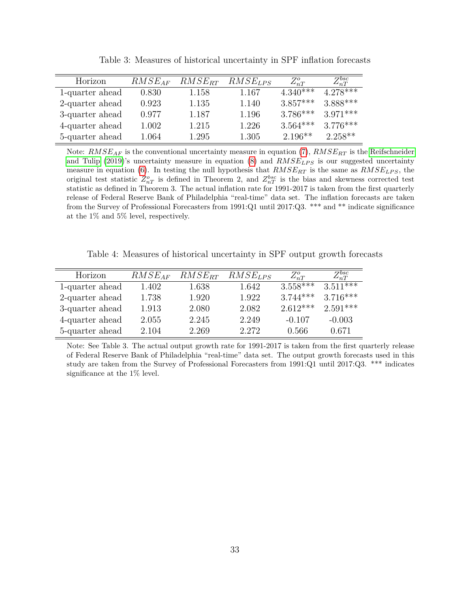| Horizon         | $RMSE_{AF}$ | $RMSE_{RT}$ | $RMSE_{LPS}$ | $Z_{nT}^o$ | $Z_{nT}^{bsc}$ |
|-----------------|-------------|-------------|--------------|------------|----------------|
| 1-quarter ahead | 0.830       | 1.158       | 1.167        | $4.340***$ | $4.278***$     |
| 2-quarter ahead | 0.923       | 1.135       | 1.140        | $3.857***$ | $3.888***$     |
| 3-quarter ahead | 0.977       | 1.187       | 1.196        | $3.786***$ | $3.971***$     |
| 4-quarter ahead | 1.002       | 1.215       | 1.226        | $3.564***$ | $3.776***$     |
| 5-quarter ahead | 1.064       | 1.295       | 1.305        | $2.196**$  | $2.258**$      |

Table 3: Measures of historical uncertainty in SPF inflation forecasts

Note: *RMSEAF* is the conventional uncertainty measure in equation [\(7\)](#page-10-2), *RMSERT* is the [Reifschneider](#page-29-3) [and Tulip](#page-29-3) [\(2019\)](#page-29-3)'s uncertainty measure in equation [\(8\)](#page-10-3) and  $RMSE_{LPS}$  is our suggested uncertainty measure in equation [\(6\)](#page-9-0). In testing the null hypothesis that *RMSERT* is the same as *RMSELP S*, the original test statistic  $Z_{nT}^o$  is defined in Theorem 2, and  $Z_{nT}^{bsc}$  is the bias and skewness corrected test statistic as defined in Theorem 3. The actual inflation rate for 1991-2017 is taken from the first quarterly release of Federal Reserve Bank of Philadelphia "real-time" data set. The inflation forecasts are taken from the Survey of Professional Forecasters from 1991:Q1 until 2017:Q3. \*\*\* and \*\* indicate significance at the 1% and 5% level, respectively.

Table 4: Measures of historical uncertainty in SPF output growth forecasts

| Horizon         | $RMSE_{AF}$ | $RMSE_{RT}$ | $RMSE_{LPS}$ | $Z_{nT}^o$ | $Z_{nT}^{bsc}$                      |
|-----------------|-------------|-------------|--------------|------------|-------------------------------------|
| 1-quarter ahead | 1.402       | 1.638       | 1.642        | $3.558***$ | $3.51$ <sup><math>+</math>***</sup> |
| 2-quarter ahead | 1.738       | 1.920       | 1.922        | $3.744***$ | $3.716***$                          |
| 3-quarter ahead | 1.913       | 2.080       | 2.082        | $2.612***$ | $2.591***$                          |
| 4-quarter ahead | 2.055       | 2.245       | 2.249        | $-0.107$   | $-0.003$                            |
| 5-quarter ahead | 2.104       | 2.269       | 2.272        | 0.566      | 0.671                               |

Note: See Table 3. The actual output growth rate for 1991-2017 is taken from the first quarterly release of Federal Reserve Bank of Philadelphia "real-time" data set. The output growth forecasts used in this study are taken from the Survey of Professional Forecasters from 1991:Q1 until 2017:Q3. \*\*\* indicates significance at the 1% level.